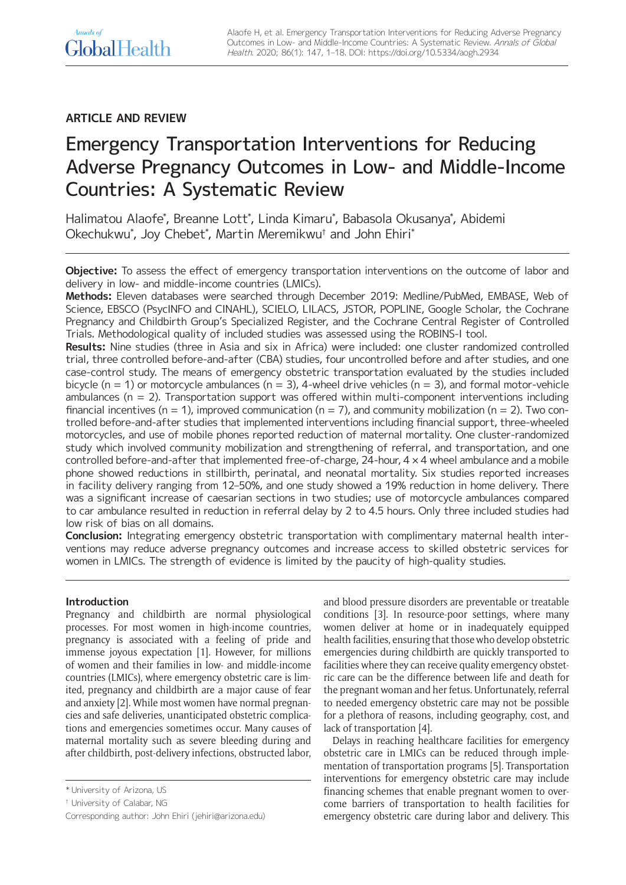## Annals of GlobalHealth

## **ARTICLE AND REVIEW**

# Emergency Transportation Interventions for Reducing Adverse Pregnancy Outcomes in Low- and Middle-Income Countries: A Systematic Review

Halimatou Alaofe\* , Breanne Lott\* , Linda Kimaru\* , Babasola Okusanya\* , Abidemi Okechukwu\* , Joy Chebet\* , Martin Meremikwu† and John Ehiri\*

**Objective:** To assess the effect of emergency transportation interventions on the outcome of labor and delivery in low- and middle-income countries (LMICs).

**Methods:** Eleven databases were searched through December 2019: Medline/PubMed, EMBASE, Web of Science, EBSCO (PsycINFO and CINAHL), SCIELO, LILACS, JSTOR, POPLINE, Google Scholar, the Cochrane Pregnancy and Childbirth Group's Specialized Register, and the Cochrane Central Register of Controlled Trials. Methodological quality of included studies was assessed using the ROBINS-I tool.

**Results:** Nine studies (three in Asia and six in Africa) were included: one cluster randomized controlled trial, three controlled before-and-after (CBA) studies, four uncontrolled before and after studies, and one case-control study. The means of emergency obstetric transportation evaluated by the studies included bicycle (n = 1) or motorcycle ambulances (n = 3), 4-wheel drive vehicles (n = 3), and formal motor-vehicle ambulances ( $n = 2$ ). Transportation support was offered within multi-component interventions including financial incentives (n = 1), improved communication (n = 7), and community mobilization (n = 2). Two controlled before-and-after studies that implemented interventions including financial support, three-wheeled motorcycles, and use of mobile phones reported reduction of maternal mortality. One cluster-randomized study which involved community mobilization and strengthening of referral, and transportation, and one controlled before-and-after that implemented free-of-charge, 24-hour, 4 × 4 wheel ambulance and a mobile phone showed reductions in stillbirth, perinatal, and neonatal mortality. Six studies reported increases in facility delivery ranging from 12–50%, and one study showed a 19% reduction in home delivery. There was a significant increase of caesarian sections in two studies; use of motorcycle ambulances compared to car ambulance resulted in reduction in referral delay by 2 to 4.5 hours. Only three included studies had low risk of bias on all domains.

**Conclusion:** Integrating emergency obstetric transportation with complimentary maternal health interventions may reduce adverse pregnancy outcomes and increase access to skilled obstetric services for women in LMICs. The strength of evidence is limited by the paucity of high-quality studies.

## **Introduction**

Pregnancy and childbirth are normal physiological processes. For most women in high-income countries, pregnancy is associated with a feeling of pride and immense joyous expectation [1]. However, for millions of women and their families in low- and middle-income countries (LMICs), where emergency obstetric care is limited, pregnancy and childbirth are a major cause of fear and anxiety [2]. While most women have normal pregnancies and safe deliveries, unanticipated obstetric complications and emergencies sometimes occur. Many causes of maternal mortality such as severe bleeding during and after childbirth, post-delivery infections, obstructed labor, and blood pressure disorders are preventable or treatable conditions [3]. In resource-poor settings, where many women deliver at home or in inadequately equipped health facilities, ensuring that those who develop obstetric emergencies during childbirth are quickly transported to facilities where they can receive quality emergency obstetric care can be the difference between life and death for the pregnant woman and her fetus. Unfortunately, referral to needed emergency obstetric care may not be possible for a plethora of reasons, including geography, cost, and lack of transportation [4].

Delays in reaching healthcare facilities for emergency obstetric care in LMICs can be reduced through implementation of transportation programs [5]. Transportation interventions for emergency obstetric care may include financing schemes that enable pregnant women to overcome barriers of transportation to health facilities for emergency obstetric care during labor and delivery. This

<sup>\*</sup> University of Arizona, US

<sup>†</sup> University of Calabar, NG

Corresponding author: John Ehiri [\(jehiri@arizona.edu\)](mailto:jehiri@arizona.edu)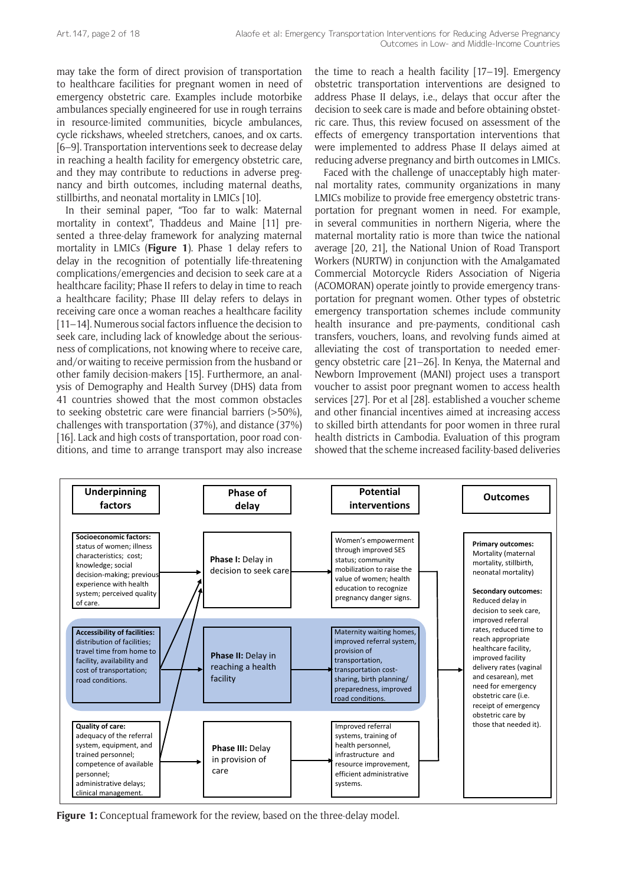may take the form of direct provision of transportation to healthcare facilities for pregnant women in need of emergency obstetric care. Examples include motorbike ambulances specially engineered for use in rough terrains in resource-limited communities, bicycle ambulances, cycle rickshaws, wheeled stretchers, canoes, and ox carts. [6–9]. Transportation interventions seek to decrease delay in reaching a health facility for emergency obstetric care, and they may contribute to reductions in adverse pregnancy and birth outcomes, including maternal deaths, stillbirths, and neonatal mortality in LMICs [10].

In their seminal paper, "Too far to walk: Maternal mortality in context", Thaddeus and Maine [11] presented a three-delay framework for analyzing maternal mortality in LMICs (**Figure 1**). Phase 1 delay refers to delay in the recognition of potentially life-threatening complications/emergencies and decision to seek care at a healthcare facility; Phase II refers to delay in time to reach a healthcare facility; Phase III delay refers to delays in receiving care once a woman reaches a healthcare facility [11–14]. Numerous social factors influence the decision to seek care, including lack of knowledge about the seriousness of complications, not knowing where to receive care, and/or waiting to receive permission from the husband or other family decision-makers [15]. Furthermore, an analysis of Demography and Health Survey (DHS) data from 41 countries showed that the most common obstacles to seeking obstetric care were financial barriers (>50%), challenges with transportation (37%), and distance (37%) [16]. Lack and high costs of transportation, poor road conditions, and time to arrange transport may also increase

the time to reach a health facility [17–19]. Emergency obstetric transportation interventions are designed to address Phase II delays, i.e., delays that occur after the decision to seek care is made and before obtaining obstetric care. Thus, this review focused on assessment of the effects of emergency transportation interventions that were implemented to address Phase II delays aimed at reducing adverse pregnancy and birth outcomes in LMICs.

Faced with the challenge of unacceptably high maternal mortality rates, community organizations in many LMICs mobilize to provide free emergency obstetric transportation for pregnant women in need. For example, in several communities in northern Nigeria, where the maternal mortality ratio is more than twice the national average [20, 21], the National Union of Road Transport Workers (NURTW) in conjunction with the Amalgamated Commercial Motorcycle Riders Association of Nigeria (ACOMORAN) operate jointly to provide emergency transportation for pregnant women. Other types of obstetric emergency transportation schemes include community health insurance and pre-payments, conditional cash transfers, vouchers, loans, and revolving funds aimed at alleviating the cost of transportation to needed emergency obstetric care [21–26]. In Kenya, the Maternal and Newborn Improvement (MANI) project uses a transport voucher to assist poor pregnant women to access health services [27]. Por et al [28]. established a voucher scheme and other financial incentives aimed at increasing access to skilled birth attendants for poor women in three rural health districts in Cambodia. Evaluation of this program showed that the scheme increased facility-based deliveries



**Figure 1:** Conceptual framework for the review, based on the three-delay model.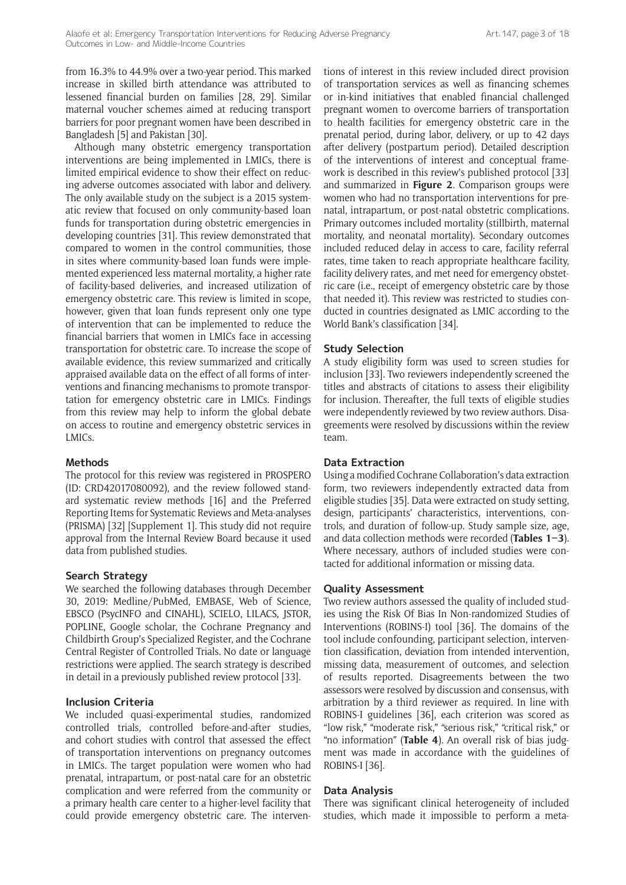from 16.3% to 44.9% over a two-year period. This marked increase in skilled birth attendance was attributed to lessened financial burden on families [28, 29]. Similar maternal voucher schemes aimed at reducing transport barriers for poor pregnant women have been described in Bangladesh [5] and Pakistan [30].

Although many obstetric emergency transportation interventions are being implemented in LMICs, there is limited empirical evidence to show their effect on reducing adverse outcomes associated with labor and delivery. The only available study on the subject is a 2015 systematic review that focused on only community-based loan funds for transportation during obstetric emergencies in developing countries [31]. This review demonstrated that compared to women in the control communities, those in sites where community-based loan funds were implemented experienced less maternal mortality, a higher rate of facility-based deliveries, and increased utilization of emergency obstetric care. This review is limited in scope, however, given that loan funds represent only one type of intervention that can be implemented to reduce the financial barriers that women in LMICs face in accessing transportation for obstetric care. To increase the scope of available evidence, this review summarized and critically appraised available data on the effect of all forms of interventions and financing mechanisms to promote transportation for emergency obstetric care in LMICs. Findings from this review may help to inform the global debate on access to routine and emergency obstetric services in LMICs.

#### **Methods**

The protocol for this review was registered in PROSPERO (ID: CRD42017080092), and the review followed standard systematic review methods [16] and the Preferred Reporting Items for Systematic Reviews and Meta-analyses (PRISMA) [32] [Supplement 1]. This study did not require approval from the Internal Review Board because it used data from published studies.

#### **Search Strategy**

We searched the following databases through December 30, 2019: Medline/PubMed, EMBASE, Web of Science, EBSCO (PsycINFO and CINAHL), SCIELO, LILACS, JSTOR, POPLINE, Google scholar, the Cochrane Pregnancy and Childbirth Group's Specialized Register, and the Cochrane Central Register of Controlled Trials. No date or language restrictions were applied. The search strategy is described in detail in a previously published review protocol [33].

#### **Inclusion Criteria**

We included quasi-experimental studies, randomized controlled trials, controlled before-and-after studies, and cohort studies with control that assessed the effect of transportation interventions on pregnancy outcomes in LMICs. The target population were women who had prenatal, intrapartum, or post-natal care for an obstetric complication and were referred from the community or a primary health care center to a higher-level facility that could provide emergency obstetric care. The interventions of interest in this review included direct provision of transportation services as well as financing schemes or in-kind initiatives that enabled financial challenged pregnant women to overcome barriers of transportation to health facilities for emergency obstetric care in the prenatal period, during labor, delivery, or up to 42 days after delivery (postpartum period). Detailed description of the interventions of interest and conceptual framework is described in this review's published protocol [33] and summarized in **Figure 2**. Comparison groups were women who had no transportation interventions for prenatal, intrapartum, or post-natal obstetric complications. Primary outcomes included mortality (stillbirth, maternal mortality, and neonatal mortality). Secondary outcomes included reduced delay in access to care, facility referral rates, time taken to reach appropriate healthcare facility, facility delivery rates, and met need for emergency obstetric care (i.e., receipt of emergency obstetric care by those that needed it). This review was restricted to studies conducted in countries designated as LMIC according to the World Bank's classification [34].

#### **Study Selection**

A study eligibility form was used to screen studies for inclusion [33]. Two reviewers independently screened the titles and abstracts of citations to assess their eligibility for inclusion. Thereafter, the full texts of eligible studies were independently reviewed by two review authors. Disagreements were resolved by discussions within the review team.

#### **Data Extraction**

Using a modified Cochrane Collaboration's data extraction form, two reviewers independently extracted data from eligible studies [35]. Data were extracted on study setting, design, participants' characteristics, interventions, controls, and duration of follow-up. Study sample size, age, and data collection methods were recorded (**Tables 1–3**). Where necessary, authors of included studies were contacted for additional information or missing data.

#### **Quality Assessment**

Two review authors assessed the quality of included studies using the Risk Of Bias In Non-randomized Studies of Interventions (ROBINS-I) tool [36]. The domains of the tool include confounding, participant selection, intervention classification, deviation from intended intervention, missing data, measurement of outcomes, and selection of results reported. Disagreements between the two assessors were resolved by discussion and consensus, with arbitration by a third reviewer as required. In line with ROBINS-I guidelines [36], each criterion was scored as "low risk," "moderate risk," "serious risk," "critical risk," or "no information" (**Table 4**). An overall risk of bias judgment was made in accordance with the guidelines of ROBINS-I [36].

#### **Data Analysis**

There was significant clinical heterogeneity of included studies, which made it impossible to perform a meta-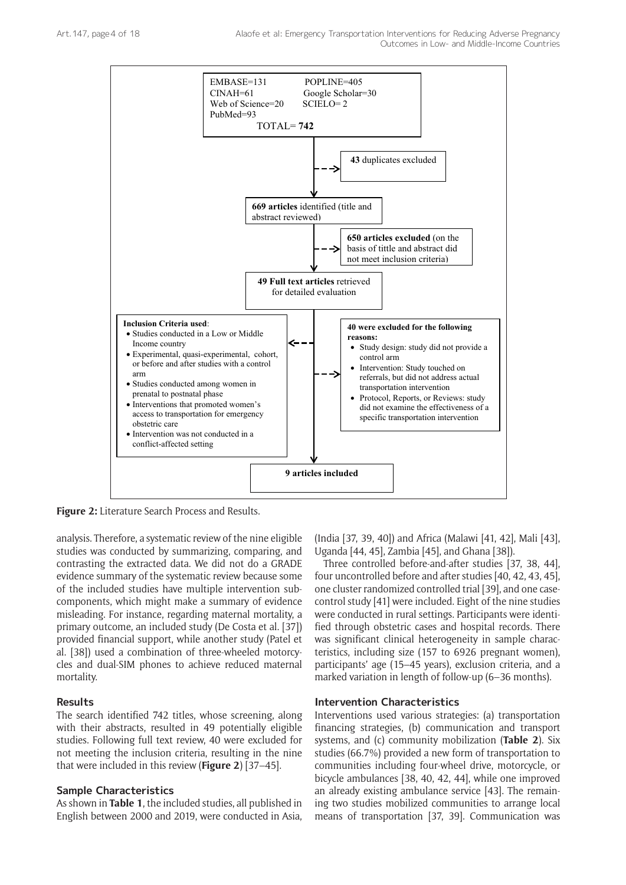

**Figure 2:** Literature Search Process and Results.

analysis. Therefore, a systematic review of the nine eligible studies was conducted by summarizing, comparing, and contrasting the extracted data. We did not do a GRADE evidence summary of the systematic review because some of the included studies have multiple intervention subcomponents, which might make a summary of evidence misleading. For instance, regarding maternal mortality, a primary outcome, an included study (De Costa et al. [37]) provided financial support, while another study (Patel et al. [38]) used a combination of three-wheeled motorcycles and dual-SIM phones to achieve reduced maternal mortality.

#### **Results**

The search identified 742 titles, whose screening, along with their abstracts, resulted in 49 potentially eligible studies. Following full text review, 40 were excluded for not meeting the inclusion criteria, resulting in the nine that were included in this review (**Figure 2**) [37–45].

#### **Sample Characteristics**

As shown in **Table 1**, the included studies, all published in English between 2000 and 2019, were conducted in Asia, (India [37, 39, 40]) and Africa (Malawi [41, 42], Mali [43], Uganda [44, 45], Zambia [45], and Ghana [38]).

Three controlled before-and-after studies [37, 38, 44], four uncontrolled before and after studies [40, 42, 43, 45], one cluster randomized controlled trial [39], and one casecontrol study [41] were included. Eight of the nine studies were conducted in rural settings. Participants were identified through obstetric cases and hospital records. There was significant clinical heterogeneity in sample characteristics, including size (157 to 6926 pregnant women), participants' age (15–45 years), exclusion criteria, and a marked variation in length of follow-up (6–36 months).

### **Intervention Characteristics**

Interventions used various strategies: (a) transportation financing strategies, (b) communication and transport systems, and (c) community mobilization (**Table 2**). Six studies (66.7%) provided a new form of transportation to communities including four-wheel drive, motorcycle, or bicycle ambulances [38, 40, 42, 44], while one improved an already existing ambulance service [43]. The remaining two studies mobilized communities to arrange local means of transportation [37, 39]. Communication was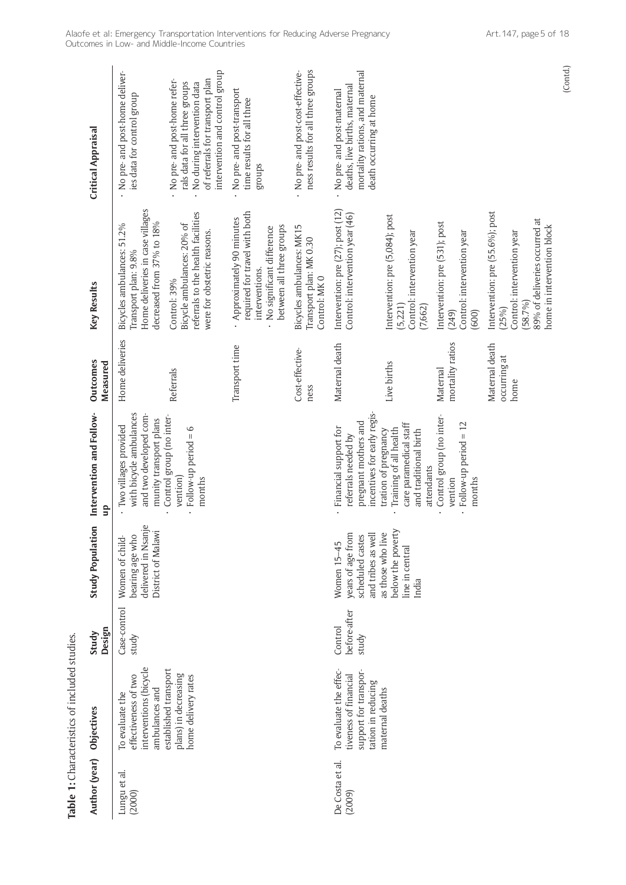| Author (year) Objectives  |                                                                                                | Design<br>Study                  | <b>Study Population</b>                                                         | Intervention and Follow-<br>qn                                                                                  | Outcomes<br>Measured                   | Key Results                                                                                                                                      | <b>Critical Appraisal</b>                                                                                                                                          |
|---------------------------|------------------------------------------------------------------------------------------------|----------------------------------|---------------------------------------------------------------------------------|-----------------------------------------------------------------------------------------------------------------|----------------------------------------|--------------------------------------------------------------------------------------------------------------------------------------------------|--------------------------------------------------------------------------------------------------------------------------------------------------------------------|
| Lungu et al.<br>(2000)    | interventions (bicycle<br>effectiveness of two<br>ambulances and<br>To evaluate the            | Case-control<br>study            | delivered in Nsanje<br>District of Malawi<br>bearing age who<br>Women of child- | with bicycle ambulances<br>and two developed com-<br>munity transport plans<br>Two villages provided            | Home deliveries                        | Home deliveries in case villages<br>decreased from 37% to 18%<br>Bicycles ambulances: 51.2%<br>Transport plan: 9.8%                              | No pre- and post-home deliver-<br>ies data for control group                                                                                                       |
|                           | established transport<br>plans) in decreasing<br>home delivery rates                           |                                  |                                                                                 | Control group (no inter-<br>Follow-up period $= 6$<br>vention)<br>months                                        | Referrals                              | referrals to the health facilities<br>Bicycle ambulances: 20% of<br>were for obstetric reasons.<br>Control: 39%                                  | intervention and control group<br>No pre- and post-home refer-<br>of referrals for transport plan<br>No during intervention data<br>rals data for all three groups |
|                           |                                                                                                |                                  |                                                                                 |                                                                                                                 | Transport time                         | required for travel with both<br>Approximately 90 minutes<br>between all three groups<br>No significant difference<br>interventions.             | No pre- and post-transport<br>time results for all three<br>groups                                                                                                 |
|                           |                                                                                                |                                  |                                                                                 |                                                                                                                 | Cost-effective-<br>ness                | Bicycles ambulances: MK15<br>Transport plan: MK 0.30<br>Control: MKO                                                                             | ness results for all three groups<br>No pre- and post-cost-effective-                                                                                              |
| De Costa et al.<br>(2009) | To evaluate the effec-<br>support for transpor-<br>tiveness of financial<br>tation in reducing | before-after<br>Control<br>study | years of age from<br>and tribes as well<br>scheduled castes<br>Women 15-45      | incentives for early regis-<br>pregnant mothers and<br>· Financial support for<br>referrals needed by           | Maternal death                         | Intervention: pre (27); post (12)<br>Control: intervention year (46)                                                                             | mortality rations, and maternal<br>deaths, live births, maternal<br>No pre- and post-maternal<br>death occurring at home                                           |
|                           | maternal deaths                                                                                |                                  | below the poverty<br>as those who live<br>line in central<br>India              | care paramedical staff<br>Training of all health<br>and traditional birth<br>tration of pregnancy<br>attendants | Live births                            | Intervention: pre (5,084); post<br>Control: intervention year<br>(5,221)<br>(7,662)                                                              |                                                                                                                                                                    |
|                           |                                                                                                |                                  |                                                                                 | Control group (no inter-<br>Follow-up period = 12<br>vention<br>months                                          | mortality ratios<br>Maternal           | Intervention: pre (531); post<br>Control: intervention year<br>(249)<br>(600)                                                                    |                                                                                                                                                                    |
|                           |                                                                                                |                                  |                                                                                 |                                                                                                                 | Maternal death<br>occurring at<br>home | Intervention: pre (55.6%); post<br>89% of deliveries occurred at<br>home in intervention block<br>Control: intervention year<br>(58.7%)<br>(25%) |                                                                                                                                                                    |

Table 1: Characteristics of included studies. **Table 1:** Characteristics of included studies.

(Contd.)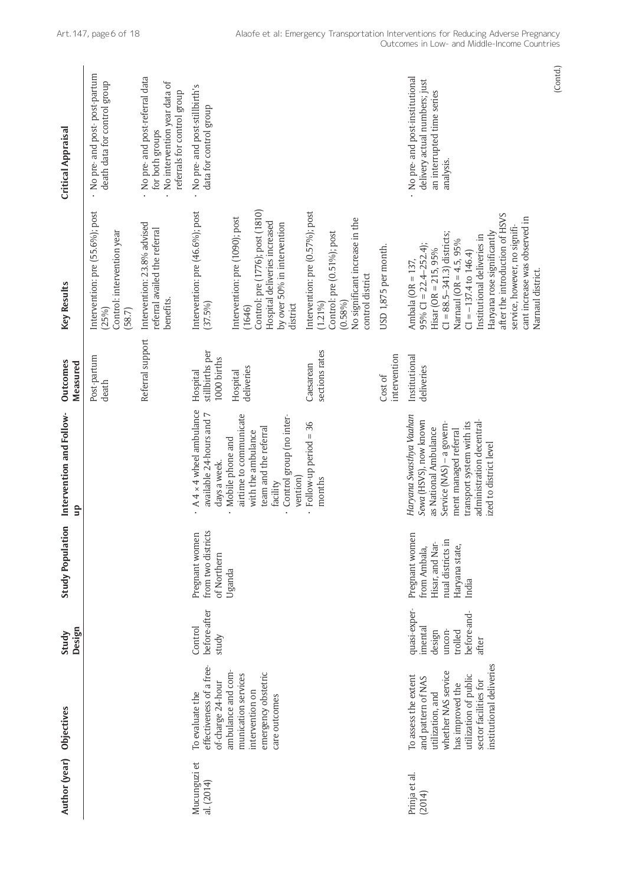| Author (year) Objectives   |                                                                                                                                                                                         | Design<br>Study                                                                | <b>Study Population</b>                                                                           | Intervention and Follow-<br>g                                                                                                                                                                                        | Outcomes<br>Measured                       | Key Results                                                                                                                                                                                                                                                                                                                                              | <b>Critical Appraisal</b>                                                                                        |
|----------------------------|-----------------------------------------------------------------------------------------------------------------------------------------------------------------------------------------|--------------------------------------------------------------------------------|---------------------------------------------------------------------------------------------------|----------------------------------------------------------------------------------------------------------------------------------------------------------------------------------------------------------------------|--------------------------------------------|----------------------------------------------------------------------------------------------------------------------------------------------------------------------------------------------------------------------------------------------------------------------------------------------------------------------------------------------------------|------------------------------------------------------------------------------------------------------------------|
|                            |                                                                                                                                                                                         |                                                                                |                                                                                                   |                                                                                                                                                                                                                      | Post-partum<br>death                       | Intervention: pre (55.6%); post<br>Control: intervention year<br>(25%)<br>(58.7)                                                                                                                                                                                                                                                                         | No pre- and post-post-partum<br>death data for control group                                                     |
|                            |                                                                                                                                                                                         |                                                                                |                                                                                                   |                                                                                                                                                                                                                      | Referral support                           | Intervention: 23.8% advised<br>referral availed the referral<br>benefits.                                                                                                                                                                                                                                                                                | No pre- and post-referral data<br>No intervention year data of<br>referrals for control group<br>for both groups |
| Mucunguzi et<br>al. (2014) | effectiveness of a free-<br>of-charge 24-hour<br>To evaluate the                                                                                                                        | before-after<br>Control<br>study                                               | from two districts<br>Pregnant women<br>of Northern                                               | $A 4 \times 4$ wheel ambulance<br>available 24-hours and 7<br>days a week.                                                                                                                                           | stillbirths per<br>1000 births<br>Hospital | Intervention: pre (46.6%); post<br>(37.5%)                                                                                                                                                                                                                                                                                                               | No pre- and post-stillbirth's<br>data for control group                                                          |
|                            | emergency obstetric<br>ambulance and com<br>munication services<br>intervention on<br>care outcomes                                                                                     |                                                                                | Uganda                                                                                            | airtime to communicate<br>Control group (no inter-<br>team and the referral<br>with the ambulance<br>Mobile phone and<br>vention)<br>facility                                                                        | deliveries<br>Hospital                     | Control: pre (1776); post (1810)<br>intervention: pre (1090); post<br>Hospital deliveries increased<br>by over 50% in intervention<br>district<br>(1646)                                                                                                                                                                                                 |                                                                                                                  |
|                            |                                                                                                                                                                                         |                                                                                |                                                                                                   | Follow-up period = 36<br>months                                                                                                                                                                                      | sections rates<br>Caesarean                | Intervention: pre (0.57%); post<br>No significant increase in the<br>Control: pre (0.51%); post<br>control district<br>(0.58%)<br>$(1.21\%)$                                                                                                                                                                                                             |                                                                                                                  |
|                            |                                                                                                                                                                                         |                                                                                |                                                                                                   |                                                                                                                                                                                                                      | intervention<br>Cost of                    | USD 1,875 per month.                                                                                                                                                                                                                                                                                                                                     |                                                                                                                  |
| Prinja et al.<br>(2014)    | institutional deliveries<br>whether NAS service<br>utilization of public<br>To assess the extent<br>and pattern of NAS<br>sector facilities for<br>has improved the<br>utilization, and | quasi-exper-<br>before-and-<br>imental<br>uncon-<br>trolled<br>design<br>after | Pregnant women<br>nual districts in<br>Hisar, and Nar-<br>Haryana state,<br>from Ambala,<br>India | Haryana Swasthya Vaahan<br>Sewa (HSVS), now known<br>administration decentral-<br>transport system with its<br>Service (NAS) - a govern-<br>as National Ambulance<br>ment managed referral<br>ized to district level | Institutional<br>deliveries                | after the introduction of HSVS<br>cant increase was observed in<br>service, however, no signifi-<br>Haryana rose significantly<br>$Cl = 88.5 - 341.3$ districts;<br>Institutional deliveries in<br>Narnaul (OR = $4.5, 95\%$<br>$95\%$ CI = 22.4-252.4);<br>$Hisar (OR = 215, 95%$<br>$Cl = -137.4$ to $146.4$<br>Ambala (OR = 137,<br>Narnaul district. | No pre- and post-institutional<br>delivery actual numbers; just<br>an interrupted time series<br>analysis        |

(Contd.)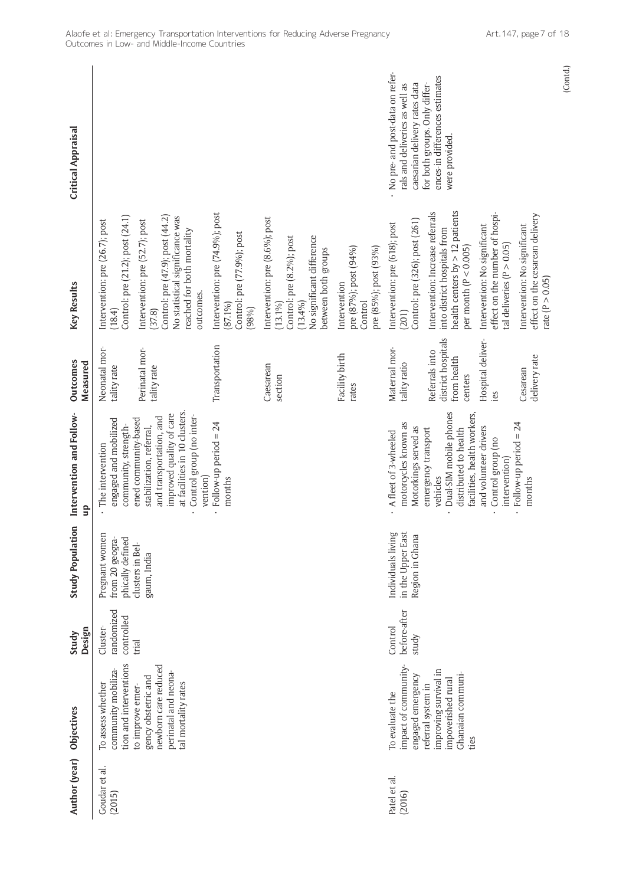| Critical Appraisal             |                                                                              |                                                                                                                                                                                  |                                                                                      |                                                                                                                                       |                                                                           | - No pre- and post-data on refer-<br>caesarian delivery rates data<br>rals and deliveries as well as | ences-in differences estimates<br>for both groups. Only differ-<br>were provided.                                                  |                                                                                                 |                                                                                    |
|--------------------------------|------------------------------------------------------------------------------|----------------------------------------------------------------------------------------------------------------------------------------------------------------------------------|--------------------------------------------------------------------------------------|---------------------------------------------------------------------------------------------------------------------------------------|---------------------------------------------------------------------------|------------------------------------------------------------------------------------------------------|------------------------------------------------------------------------------------------------------------------------------------|-------------------------------------------------------------------------------------------------|------------------------------------------------------------------------------------|
| Key Results                    | Control: pre (21.2); post (24.1)<br>intervention: pre (26.7); post<br>(18.4) | Control: pre (47.9); post (44.2)<br>No statistical significance was<br>Intervention: pre (52.7); post<br>reached for both mortality<br>outcomes.<br>(37.8)                       | Intervention: pre (74.9%); post<br>Control: pre (77.9%); post<br>$(87.1\%)$<br>(98%) | Intervention: pre (8.6%); post<br>No significant difference<br>Control: pre (8.2%); post<br>between both groups<br>(13.4%)<br>(13.1%) | pre (85%); post (93%)<br>pre (87%); post (94%)<br>Intervention<br>Control | Control: pre (326); post (261)<br>Intervention: pre (618); post<br>(201)                             | health centers by $> 12$ patients<br>Intervention: Increase referrals<br>into district hospitals from<br>per month ( $P < 0.005$ ) | effect on the number of hospi-<br>Intervention: No significant<br>tal deliveries ( $P > 0.05$ ) | effect on the cesarean delivery<br>Intervention: No significant<br>rate (P > 0.05) |
| <b>Outcomes</b><br>Measured    | Neonatal mor-<br>tality rate                                                 | Perinatal mor-<br>tality rate                                                                                                                                                    | Transportation                                                                       | Caesarean<br>section                                                                                                                  | Facility birth<br>rates                                                   | Maternal mor-<br>tality ratio                                                                        | district hospitals<br>Referrals into<br>from health<br>centers                                                                     | Hospital deliver-<br>cs.                                                                        | delivery rate<br>Cesarean                                                          |
| Intervention and Follow-<br>qn | engaged and mobilized<br>community, strength-<br>The intervention            | at facilities in 10 clusters.<br>improved quality of care<br>Control group (no inter-<br>and transportation, and<br>ened community-based<br>stabilization, referral,<br>vention) | Follow-up period = 24<br>months                                                      |                                                                                                                                       |                                                                           | motorcycles known as<br>Motorkings served as<br>A fleet of 3-wheeled                                 | Dual-SIM mobile phones<br>facilities, health workers,<br>distributed to health<br>emergency transport<br>vehicles                  | and volunteer drivers<br>Control group (no<br>intervention)                                     | Follow-up period $= 24$<br>months                                                  |
| <b>Study Population</b>        | Pregnant women<br>from 20 geogra-<br>phically defined                        | clusters in Bel-<br>gaum, India                                                                                                                                                  |                                                                                      |                                                                                                                                       |                                                                           | Individuals living<br>in the Upper East<br>Region in Ghana                                           |                                                                                                                                    |                                                                                                 |                                                                                    |
| Design<br>Study                | randomized<br>controlled<br>Cluster-                                         | trial                                                                                                                                                                            |                                                                                      |                                                                                                                                       |                                                                           | before-after<br>Control<br>study                                                                     |                                                                                                                                    |                                                                                                 |                                                                                    |
| Objectives                     | tion and interventions<br>community mobiliza-<br>To assess whether           | newborn care reduced<br>perinatal and neona-<br>gency obstetric and<br>tal mortality rates<br>to improve emer-                                                                   |                                                                                      |                                                                                                                                       |                                                                           | impact of community-<br>engaged emergency<br>To evaluate the                                         | improving survival in<br>Ghanaian communi-<br>impoverished rural<br>referral system in<br>ties                                     |                                                                                                 |                                                                                    |
| Author (year)                  | Goudar et al.<br>(2015)                                                      |                                                                                                                                                                                  |                                                                                      |                                                                                                                                       |                                                                           | Patel et al.<br>(2016)                                                                               |                                                                                                                                    |                                                                                                 |                                                                                    |

(Contd.)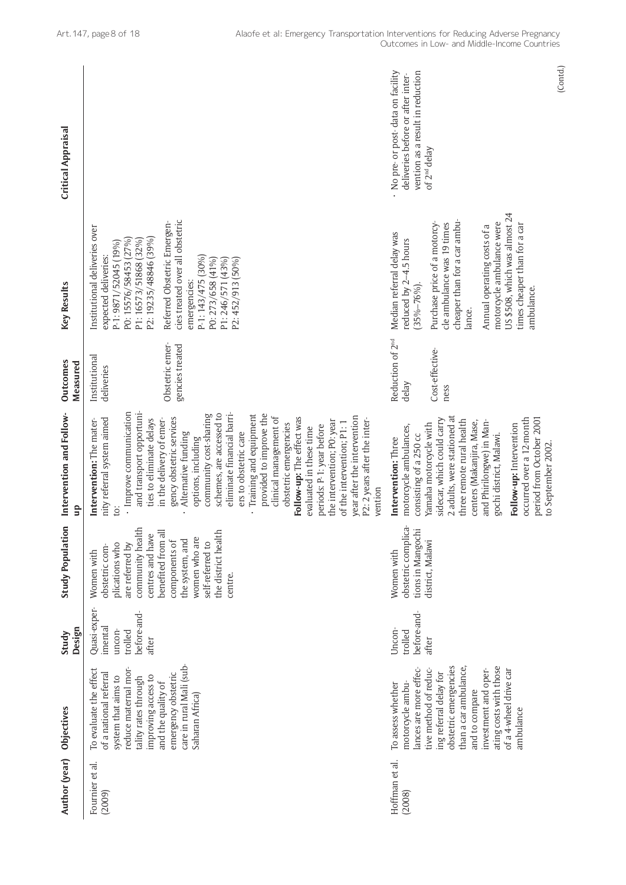| <b>Critical Appraisal</b>     |                                                                                                                                                                                                                                                                                                                                                                                                                                                                                                                                                                                                                                                                                                       | No pre- or post-data on facility<br>vention as a result in reduction<br>deliveries before or after inter-<br>of 2 <sup>nd</sup> delay                                                                                                                                                                                                                                                   | (Contd.) |
|-------------------------------|-------------------------------------------------------------------------------------------------------------------------------------------------------------------------------------------------------------------------------------------------------------------------------------------------------------------------------------------------------------------------------------------------------------------------------------------------------------------------------------------------------------------------------------------------------------------------------------------------------------------------------------------------------------------------------------------------------|-----------------------------------------------------------------------------------------------------------------------------------------------------------------------------------------------------------------------------------------------------------------------------------------------------------------------------------------------------------------------------------------|----------|
| Key Results                   | cies treated over all obstetric<br>Referred Obstetric Emergen-<br>institutional deliveries over<br>P2: 19235/48846 (39%)<br>PO: 15576/58453 (27%)<br>P1: 16573/51868 (32%)<br>P-1: 9871/52045 (19%)<br>expected deliveries:<br>P-1: 143/475 (30%)<br>P1: 246/571 (43%)<br>PO: 273/658 (41%)<br>P2: 452/913 (50%)<br>emergencies:                                                                                                                                                                                                                                                                                                                                                                      | US \$508, which was almost 24<br>cheaper than for a car ambu-<br>motorcycle ambulance were<br>cle ambulance was 19 times<br>Purchase price of a motorcy-<br>times cheaper than for a car<br>Annual operating costs of a<br>Median referral delay was<br>educed by 2-4.5 hours<br>$35\% - 76\%$<br>ambulance.<br>lance.                                                                  |          |
| Outcomes<br>Measured          | Obstetric emer-<br>gencies treated<br>Institutional<br>deliveries                                                                                                                                                                                                                                                                                                                                                                                                                                                                                                                                                                                                                                     | Reduction of 2 <sup>nd</sup><br>Cost-effective-<br>delay<br>ness                                                                                                                                                                                                                                                                                                                        |          |
| Intervention and Follow-<br>음 | and transport opportuni-<br>· Improve communication<br>schemes, are accessed to<br>eliminate financial barri-<br>community cost-sharing<br>Training and equipment<br>provided to improve the<br>year after the intervention<br>clinical management of<br>gency obstetric services<br>Follow-up: The effect was<br>nity referral system aimed<br>ties to eliminate delays<br>Intervention: The mater-<br>in the delivery of emer-<br>the intervention; PO: year<br>P2: 2 years after the inter-<br>of the intervention; P1: 1<br>obstetric emergencies<br>periods: P-1: year before<br>evaluated in these time<br>ers to obstetric care<br>Alternative funding<br>options, including<br>vention<br>io: | 2 adults, were stationed at<br>sidecar, which could carry<br>occurred over a 12-month<br>period from October 2001<br>three remote rural health<br>centers (Makanjira, Mase,<br>and Phirilongwe) in Man-<br>Yamaha motorcycle with<br>Follow-up: Intervention<br>motorcycle ambulances,<br>consisting of a 250 cc<br>gochi district, Malawi.<br>Intervention: Three<br>to September 2002 |          |
| <b>Study Population</b>       | community health<br>the district health<br>benefited from all<br>centres and have<br>women who are<br>the system, and<br>components of<br>plications who<br>self-referred to<br>are referred by<br>obstetric com-<br>Women with<br>centre.                                                                                                                                                                                                                                                                                                                                                                                                                                                            | obstetric complica-<br>tions in Mangochi<br>district, Malawi<br>Women with                                                                                                                                                                                                                                                                                                              |          |
| Design<br>Study               | Quasi-exper-<br>before-and-<br>imental<br>uncon-<br>trolled<br>after                                                                                                                                                                                                                                                                                                                                                                                                                                                                                                                                                                                                                                  | before-and-<br>Uncon-<br>trolled<br>after                                                                                                                                                                                                                                                                                                                                               |          |
| Objectives                    | care in rural Mali (sub-<br>reduce maternal mor-<br>To evaluate the effect<br>emergency obstetric<br>of a national referral<br>system that aims to<br>improving access to<br>tality rates through<br>and the quality of<br>Saharan Africa)                                                                                                                                                                                                                                                                                                                                                                                                                                                            | obstetric emergencies<br>ating costs with those<br>lances are more effec-<br>than a car ambulance,<br>of a 4-wheel drive car<br>tive method of reduc-<br>investment and oper-<br>ing referral delay for<br>To assess whether<br>motorcycle ambu-<br>and to compare<br>ambulance                                                                                                         |          |
| Author (year)                 | Fournier et al.<br>(2009)                                                                                                                                                                                                                                                                                                                                                                                                                                                                                                                                                                                                                                                                             | Hoffman et al.<br>(2008)                                                                                                                                                                                                                                                                                                                                                                |          |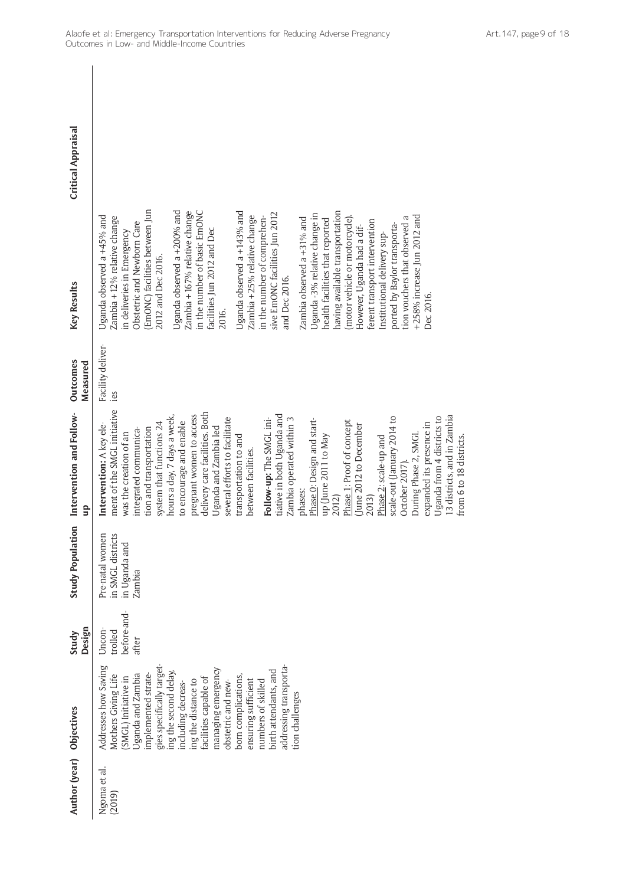| Author (year) Objectives |                                                                                                                                                                                                                                                                                                                                                                                                                                  | Design<br>Study                           | <b>Study Population</b>                                         | Intervention and Follow-<br>qn                                                                                                                                                                                                                                                                                                                                                                                                                                                                                                                                                                                                                                                                                                                                                                                              | <b>Outcomes</b><br>Measured | Key Results                                                                                                                                                                                                                                                                                                                                                                                                                                                                                                                                                                                                                                                                                                                                                                                                                                                | <b>Critical Appraisal</b> |
|--------------------------|----------------------------------------------------------------------------------------------------------------------------------------------------------------------------------------------------------------------------------------------------------------------------------------------------------------------------------------------------------------------------------------------------------------------------------|-------------------------------------------|-----------------------------------------------------------------|-----------------------------------------------------------------------------------------------------------------------------------------------------------------------------------------------------------------------------------------------------------------------------------------------------------------------------------------------------------------------------------------------------------------------------------------------------------------------------------------------------------------------------------------------------------------------------------------------------------------------------------------------------------------------------------------------------------------------------------------------------------------------------------------------------------------------------|-----------------------------|------------------------------------------------------------------------------------------------------------------------------------------------------------------------------------------------------------------------------------------------------------------------------------------------------------------------------------------------------------------------------------------------------------------------------------------------------------------------------------------------------------------------------------------------------------------------------------------------------------------------------------------------------------------------------------------------------------------------------------------------------------------------------------------------------------------------------------------------------------|---------------------------|
| Ngoma et al.<br>(2019)   | gies specifically target-<br>addressing transporta-<br>Addresses how Saving<br>managing emergency<br>birth attendants, and<br>ing the second delay,<br>Jganda and Zambia<br>implemented strate-<br>born complications,<br>Mothers Giving Life<br>SMGL) Initiative in<br>facilities capable of<br>ensuring sufficient<br>ing the distance to<br>obstetric and new-<br>numbers of skilled<br>including decreas-<br>tion challenges | before-and-<br>Uncon-<br>trolled<br>after | Pre-natal women<br>in SMGL districts<br>in Uganda and<br>Zambia | ment of the SMGL initiative<br>delivery care facilities. Both<br>hours a day, 7 days a week,<br>pregnant women to access<br>tiative in both Uganda and<br>13 districts, and in Zambia<br>Uganda from 4 districts to<br>scale-out (January 2014 to<br>Zambia operated within 3<br>several efforts to facilitate<br>Follow-up: The SMGL ini-<br>Phase O: Design and start-<br>Phase 1: Proof of concept<br>to encourage and enable<br>system that functions 24<br>expanded its presence in<br>June 2012 to December<br>Intervention: A key ele-<br>Uganda and Zambia led<br>tion and transportation<br>ntegrated communica-<br>was the creation of an<br>During Phase 2, SMGL<br>up (June 2011 to May<br>transportation to and<br>Phase 2: scale-up and<br>between facilities.<br>October 2017).<br>phases:<br>2012)<br>2013) | Facility deliver-<br>ies    | EmONC) facilities between Jun<br>Uganda observed a +200% and<br>Zambia +167% relative change<br>in the number of basic EmONC<br>Uganda observed a +143% and<br>having available transportation<br>sive EmONC facilities Jun 2012<br>Uganda - 3% relative change in<br>+258% increase Jun 2012 and<br>(motor vehicle or motorcycle).<br>Uganda observed a +45% and<br>Zambia +25% relative change<br>in the number of comprehen-<br>Zambia +12% relative change<br>Zambia observed $a + 31\%$ and<br>tion vouchers that observed a<br>health facilities that reported<br>ferent transport intervention<br>Obstetric and Newborn Care<br>ported by Baylor transporta-<br>However, Uganda had a dif-<br>facilities Jun 2012 and Dec<br>in deliveries in Emergency<br>institutional delivery sup-<br>2012 and Dec 2016.<br>and Dec 2016.<br>Dec 2016.<br>2016. |                           |
|                          |                                                                                                                                                                                                                                                                                                                                                                                                                                  |                                           |                                                                 | from 6 to 18 districts.                                                                                                                                                                                                                                                                                                                                                                                                                                                                                                                                                                                                                                                                                                                                                                                                     |                             |                                                                                                                                                                                                                                                                                                                                                                                                                                                                                                                                                                                                                                                                                                                                                                                                                                                            |                           |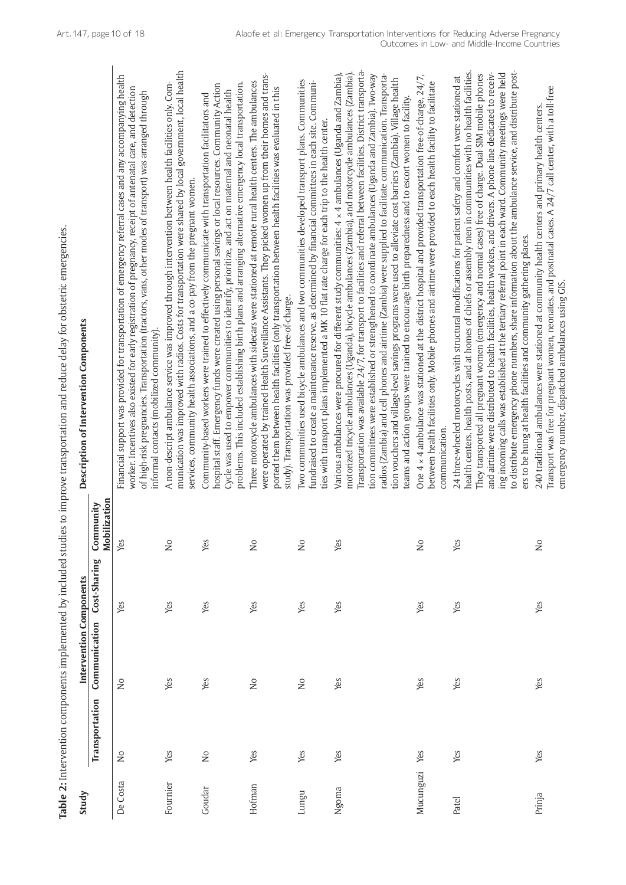| ¢<br>i<br>١                                 |
|---------------------------------------------|
|                                             |
| 1                                           |
|                                             |
|                                             |
|                                             |
|                                             |
|                                             |
| ׇ֚֓֡                                        |
| ë<br>j                                      |
| l<br>5<br>}                                 |
|                                             |
|                                             |
| ์<br>เ<br>i                                 |
|                                             |
| i                                           |
|                                             |
|                                             |
| Í                                           |
| j                                           |
| Ş                                           |
| l                                           |
| S                                           |
| $\ddot{\phantom{a}}$                        |
|                                             |
| $\frac{1}{5}$                               |
|                                             |
|                                             |
| l                                           |
|                                             |
| ť                                           |
| j<br>ì                                      |
| 7<br>Ó<br>i                                 |
|                                             |
| ć<br>l                                      |
| inn in In not<br>l                          |
| į                                           |
| $\frac{1}{2}$<br>$\overline{3}$             |
| Ì<br>l                                      |
|                                             |
| l                                           |
| Ç                                           |
| ١<br>l                                      |
|                                             |
| $\frac{1}{2}$<br>l                          |
| i<br>I                                      |
| ļ                                           |
| ֖֪ׅ֪֪ׅ֚֚֚֚֚֚֚֚֚֚֚֚֚֚֚֚֚֚֚֚֚֚֚֡֝֝֝֝֝֝֝֝֝֝֬֝֝ |
| 1<br>ŕ                                      |
| j<br>I<br>l                                 |

|           |                         |                                          |              |                            | Table 2: Intervention components implemented by included studies to improve transportation and reduce delay for obstetric emergencies                                                                                                                                                                                                                                                                                                                                                                                                                                                                                                                                                                                                                                                           |
|-----------|-------------------------|------------------------------------------|--------------|----------------------------|-------------------------------------------------------------------------------------------------------------------------------------------------------------------------------------------------------------------------------------------------------------------------------------------------------------------------------------------------------------------------------------------------------------------------------------------------------------------------------------------------------------------------------------------------------------------------------------------------------------------------------------------------------------------------------------------------------------------------------------------------------------------------------------------------|
| Study     | Transportation          | Intervention Components<br>Communication | Cost-Sharing | Mobilization<br>Community  | Description of Intervention Components                                                                                                                                                                                                                                                                                                                                                                                                                                                                                                                                                                                                                                                                                                                                                          |
| De Costa  | $\frac{1}{2}$           | $\gtrsim$                                | Yes          | Yes                        | Financial support was provided for transportation of emergency referral cases and any accompanying health<br>worker. Incentives also existed for early registration of pregnancy, receipt of antenatal care, and detection<br>of high-risk pregnancies. Transportation (tractors, vans, other modes of transport) was arranged through<br>informal contacts (mobilized community).                                                                                                                                                                                                                                                                                                                                                                                                              |
| Fournier  | Yes                     | Yes                                      | Yes          | $\overline{\mathsf{S}}$    | munication was improved with radios. Costs for transportation were shared by local government, local health<br>A non-descript ambulance service was improved through intervention between health facilities only. Com-<br>services, community health associations, and a co-pay from the pregnant women.                                                                                                                                                                                                                                                                                                                                                                                                                                                                                        |
| Goudar    | $\overline{\mathsf{S}}$ | Yes                                      | Yes          | Yes                        | hospital staff. Emergency funds were created using personal savings or local resources. Community Action<br>problems. This included establishing birth plans and arranging alternative emergency local transportation.<br>Cycle was used to empower communities to identify, prioritize, and act on maternal and neonatal health<br>Community-based workers were trained to effectively communicate with transportation facilitators and                                                                                                                                                                                                                                                                                                                                                        |
| Hofman    | Yes                     | $\frac{1}{2}$                            | Yes          | $\frac{1}{2}$              | were operated by trained Health Surveillance Assistants. They picked women up from their homes and trans-<br>Three motorcycle ambulances with sidecars were stationed at remote rural health centers. The ambulances<br>ported them between health facilities (only transportation between health facilities was evaluated in this<br>study). Transportation was provided free-of-charge.                                                                                                                                                                                                                                                                                                                                                                                                       |
| Lungu     | Yes                     | $\stackrel{\circ}{\simeq}$               | Yes          | $\stackrel{\circ}{\simeq}$ | Two communities used bicycle ambulances and two communities developed transport plans. Communities<br>fundraised to create a maintenance reserve, as determined by financial committees in each site. Communi-<br>ties with transport plans implemented a MK 10 flat rate charge for each trip to the health center.                                                                                                                                                                                                                                                                                                                                                                                                                                                                            |
| Ngoma     | Yes                     | Yes                                      | Yes          | Yes                        | Transportation was available 24/7, for transport to facilities and referral between facilities. District transporta-<br>motorized tricycle ambulances (Uganda), bicycle ambulances (Zambia), and motorcycle ambulances (Zambia).<br>Various ambulances were procured for different study communities: 4 x 4 ambulances (Uganda and Zambia),<br>tion committees were established or strengthened to coordinate ambulances (Uganda and Zambia). Two-way<br>radios (Zambia) and cell phones and airtime (Zambia) were supplied to facilitate communication. Transporta-<br>tion vouchers and village-level savings programs were used to alleviate cost barriers (Zambia). Village health<br>teams and action groups were trained to encourage birth preparedness and to escort women to facility. |
| Mucunguzi | Yes                     | Yes                                      | Yes          | $\frac{1}{2}$              | One 4 $\times$ 4 ambulance was stationed at the district hospital and provided transportation free-of-charge, 24/7,<br>between health facilities only. Mobile phones and airtime were provided to each health facility to facilitate<br>communication.                                                                                                                                                                                                                                                                                                                                                                                                                                                                                                                                          |
| Patel     | Yes                     | Yes                                      | Yes          | Yes                        | to distribute emergency phone numbers, share information about the ambulance service, and distribute post-<br>health centers, health posts, and at homes of chiefs or assembly men in communities with no health facilities.<br>and airtime were distributed to health facilities, health workers, and drivers. A phone line dedicated to receiv-<br>ing incoming calls was established at the tertiary referral point in each ward. Community meetings were held<br>They transported all pregnant women (emergency and normal cases) free of charge. Dual-SIM mobile phones<br>24 three-wheeled motorcycles with structural modifications for patient safety and comfort were stationed at<br>ers to be hung at health facilities and community gathering places.                              |
| Prinja    | Yes                     | Yes                                      | Yes          | $\mathop{\mathsf{S}}$      | Transport was free for pregnant women, neonates, and postnatal cases. A 24/7 call center, with a toll-free<br>240 traditional ambulances were stationed at community health centers and primary health centers.<br>emergency number, dispatched ambulances using GIS.                                                                                                                                                                                                                                                                                                                                                                                                                                                                                                                           |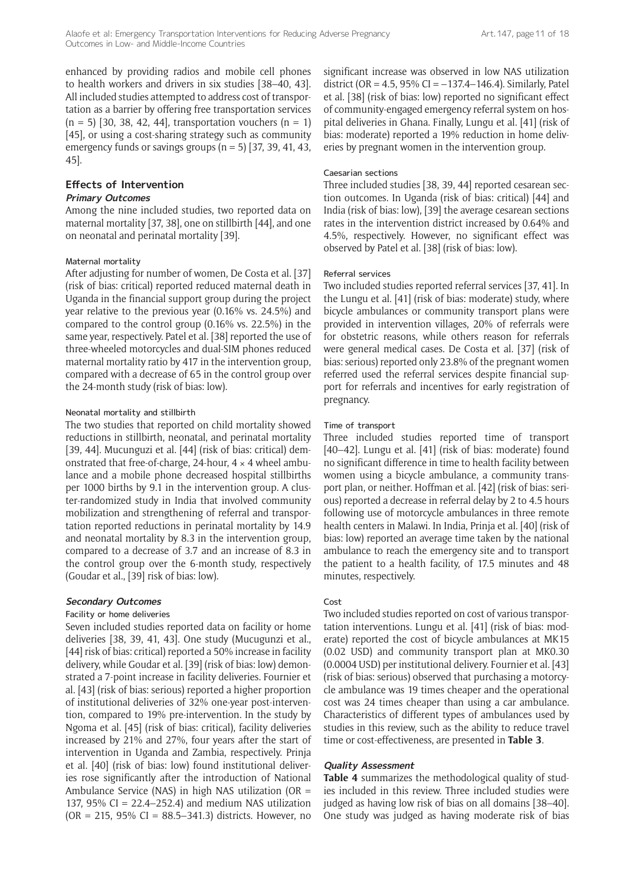enhanced by providing radios and mobile cell phones to health workers and drivers in six studies [38–40, 43]. All included studies attempted to address cost of transportation as a barrier by offering free transportation services  $(n = 5)$  [30, 38, 42, 44], transportation vouchers  $(n = 1)$ [45], or using a cost-sharing strategy such as community emergency funds or savings groups  $(n = 5)$  [37, 39, 41, 43, 45].

#### **Effects of Intervention Primary Outcomes**

Among the nine included studies, two reported data on maternal mortality [37, 38], one on stillbirth [44], and one on neonatal and perinatal mortality [39].

#### Maternal mortality

After adjusting for number of women, De Costa et al. [37] (risk of bias: critical) reported reduced maternal death in Uganda in the financial support group during the project year relative to the previous year (0.16% vs. 24.5%) and compared to the control group (0.16% vs. 22.5%) in the same year, respectively. Patel et al. [38] reported the use of three-wheeled motorcycles and dual-SIM phones reduced maternal mortality ratio by 417 in the intervention group, compared with a decrease of 65 in the control group over the 24-month study (risk of bias: low).

#### Neonatal mortality and stillbirth

The two studies that reported on child mortality showed reductions in stillbirth, neonatal, and perinatal mortality [39, 44]. Mucunguzi et al. [44] (risk of bias: critical) demonstrated that free-of-charge, 24-hour,  $4 \times 4$  wheel ambulance and a mobile phone decreased hospital stillbirths per 1000 births by 9.1 in the intervention group. A cluster-randomized study in India that involved community mobilization and strengthening of referral and transportation reported reductions in perinatal mortality by 14.9 and neonatal mortality by 8.3 in the intervention group, compared to a decrease of 3.7 and an increase of 8.3 in the control group over the 6-month study, respectively (Goudar et al., [39] risk of bias: low).

#### **Secondary Outcomes**

#### Facility or home deliveries

Seven included studies reported data on facility or home deliveries [38, 39, 41, 43]. One study (Mucugunzi et al., [44] risk of bias: critical) reported a 50% increase in facility delivery, while Goudar et al. [39] (risk of bias: low) demonstrated a 7-point increase in facility deliveries. Fournier et al. [43] (risk of bias: serious) reported a higher proportion of institutional deliveries of 32% one-year post-intervention, compared to 19% pre-intervention. In the study by Ngoma et al. [45] (risk of bias: critical), facility deliveries increased by 21% and 27%, four years after the start of intervention in Uganda and Zambia, respectively. Prinja et al. [40] (risk of bias: low) found institutional deliveries rose significantly after the introduction of National Ambulance Service (NAS) in high NAS utilization (OR  $=$ 137, 95% CI = 22.4–252.4) and medium NAS utilization  $(OR = 215, 95\% CI = 88.5 - 341.3)$  districts. However, no significant increase was observed in low NAS utilization district (OR = 4.5, 95% CI =  $-137.4-146.4$ ). Similarly, Patel et al. [38] (risk of bias: low) reported no significant effect of community-engaged emergency referral system on hospital deliveries in Ghana. Finally, Lungu et al. [41] (risk of bias: moderate) reported a 19% reduction in home deliveries by pregnant women in the intervention group.

#### Caesarian sections

Three included studies [38, 39, 44] reported cesarean section outcomes. In Uganda (risk of bias: critical) [44] and India (risk of bias: low), [39] the average cesarean sections rates in the intervention district increased by 0.64% and 4.5%, respectively. However, no significant effect was observed by Patel et al. [38] (risk of bias: low).

#### Referral services

Two included studies reported referral services [37, 41]. In the Lungu et al. [41] (risk of bias: moderate) study, where bicycle ambulances or community transport plans were provided in intervention villages, 20% of referrals were for obstetric reasons, while others reason for referrals were general medical cases. De Costa et al. [37] (risk of bias: serious) reported only 23.8% of the pregnant women referred used the referral services despite financial support for referrals and incentives for early registration of pregnancy.

#### Time of transport

Three included studies reported time of transport [40–42]. Lungu et al. [41] (risk of bias: moderate) found no significant difference in time to health facility between women using a bicycle ambulance, a community transport plan, or neither. Hoffman et al. [42] (risk of bias: serious) reported a decrease in referral delay by 2 to 4.5 hours following use of motorcycle ambulances in three remote health centers in Malawi. In India, Prinja et al. [40] (risk of bias: low) reported an average time taken by the national ambulance to reach the emergency site and to transport the patient to a health facility, of 17.5 minutes and 48 minutes, respectively.

#### Cost

Two included studies reported on cost of various transportation interventions. Lungu et al. [41] (risk of bias: moderate) reported the cost of bicycle ambulances at MK15 (0.02 USD) and community transport plan at MK0.30 (0.0004 USD) per institutional delivery. Fournier et al. [43] (risk of bias: serious) observed that purchasing a motorcycle ambulance was 19 times cheaper and the operational cost was 24 times cheaper than using a car ambulance. Characteristics of different types of ambulances used by studies in this review, such as the ability to reduce travel time or cost-effectiveness, are presented in **Table 3**.

#### **Quality Assessment**

**Table 4** summarizes the methodological quality of studies included in this review. Three included studies were judged as having low risk of bias on all domains [38–40]. One study was judged as having moderate risk of bias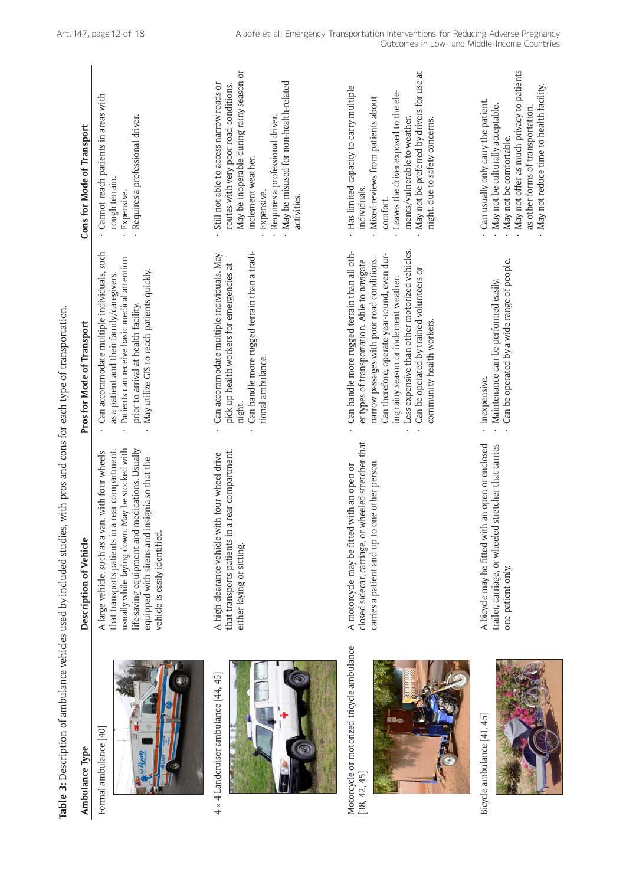| Table 3: Description of ambulance vehicles used by included studi |                                                                                                                                                                                                                                                                                                 | es, with pros and cons for each type of transportation                                                                                                                                                                                                                                                                                                         |                                                                                                                                                                                                                                                                  |
|-------------------------------------------------------------------|-------------------------------------------------------------------------------------------------------------------------------------------------------------------------------------------------------------------------------------------------------------------------------------------------|----------------------------------------------------------------------------------------------------------------------------------------------------------------------------------------------------------------------------------------------------------------------------------------------------------------------------------------------------------------|------------------------------------------------------------------------------------------------------------------------------------------------------------------------------------------------------------------------------------------------------------------|
| Ambulance Type                                                    | Description of Vehicle                                                                                                                                                                                                                                                                          | Pros for Mode of Transport                                                                                                                                                                                                                                                                                                                                     | Cons for Mode of Transport                                                                                                                                                                                                                                       |
| Formal ambulance [40]                                             | usually while laying down. May be stocked with<br>life-saving equipment and medications. Usually<br>in a rear compartment,<br>van, with four wheels<br>equipped with sirens and insignia so that the<br>vehicle is easily identified.<br>A large vehicle, such as a<br>that transports patients | Can accommodate multiple individuals, such<br>Patients can receive basic medical attention<br>May utilize GIS to reach patients quickly.<br>as a patient and their family/caregivers.<br>prior to arrival at health facility.                                                                                                                                  | Cannot reach patients in areas with<br>Requires a professional driver.<br>rough terrain<br>Expensive.                                                                                                                                                            |
| $4 \times 4$ Landcruiser ambulance [44, 45]                       | in a rear compartment,<br>with four-wheel drive<br>A high-clearance vehicle<br>that transports patients<br>either laying or sitting.                                                                                                                                                            | Can handle more rugged terrain than a tradi-<br>Can accommodate multiple individuals. May<br>pick up health workers for emergencies at<br>tional ambulance.<br>night.                                                                                                                                                                                          | May be inoperable during rainy season or<br>May be misused for non-health-related<br>Still not able to access narrow roads or<br>routes with very poor road conditions.<br>Requires a professional driver.<br>inclement weather.<br>Expensive.<br>activities.    |
| Motorcycle or motorized tricycle ambulance<br>[38, 42, 45]        | closed sidecar, carriage, or wheeled stretcher that<br>to one other person<br>A motorcycle may be fitted with an open or<br>carries a patient and up                                                                                                                                            | Less expensive than other motorized vehicles.<br>Can handle more rugged terrain than all oth-<br>Can therefore, operate year-round, even dur-<br>narrow passages with poor road conditions.<br>er types of transportation. Able to navigate<br>Can be operated by trained volunteers or<br>ing rainy season or inclement weather.<br>community health workers. | May not be preferred by drivers for use at<br>Has limited capacity to carry multiple<br>Leaves the driver exposed to the ele-<br>Mixed reviews from patients about<br>ments/vulnerable to weather.<br>night, due to safety concerns.<br>individuals.<br>comfort. |
| Bicycle ambulance [41, 45]                                        | A bicycle may be fitted with an open or enclosed<br>trailer, carriage, or wheeled stretcher that carries<br>one patient only.                                                                                                                                                                   | Can be operated by a wide range of people.<br>Maintenance can be performed easily.<br>Inexpensive.                                                                                                                                                                                                                                                             | May not offer as much privacy to patients<br>May not reduce time to health facility.<br>Can usually only carry the patient.<br>May not be culturally acceptable.<br>as other forms of transportation.<br>May not be comfortable.                                 |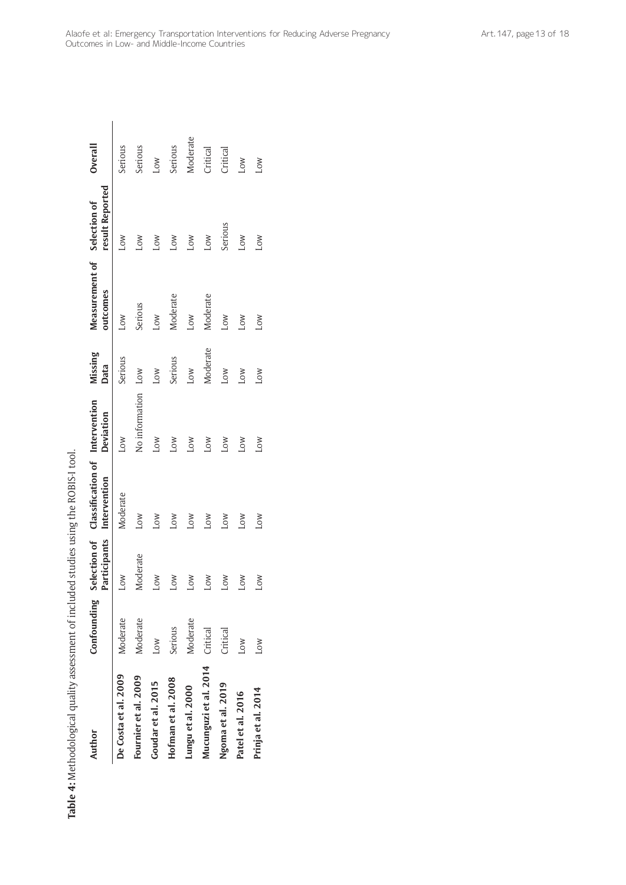| Author                | Confounding | Participants | Selection of Classification of Intervention<br>Intervention | Deviation          | Missing<br>Data | Measurement of Selection of<br>outcomes | result Reported | Overall  |
|-----------------------|-------------|--------------|-------------------------------------------------------------|--------------------|-----------------|-----------------------------------------|-----------------|----------|
| De Costa et al. 2009  | Moderate    | Low          | Moderate                                                    | Low                | Serious         | <b>NOT</b>                              | Low             | Serious  |
| Fournier et al. 2009  | Moderate    | Moderate     | MOT                                                         | No information Low |                 | Serious                                 | Low             | Serious  |
| Goudar et al. 2015    | Low         | Low          | Low                                                         | Low                | <b>NOT</b>      | LOW                                     | <b>NOT</b>      | Low      |
| Hofman et al. 2008    | Serious     | Low          | Low                                                         | Low                | Serious         | Moderate                                | <b>NOT</b>      | Serious  |
| Lungu et al. 2000     | Moderate    | <b>NOT</b>   | Low                                                         | <b>NOT</b>         | Low             | MOJ                                     | Low             | Moderate |
| Mucunguzi et al. 2014 | Critical    | <b>NOT</b>   | Low                                                         | Low                | Moderate        | Moderate                                | Low             | Critical |
| Ngoma et al. 2019     | Critical    | <b>NOT</b>   | Low                                                         | Low                | Low             | Low                                     | Serious         | Critical |
| Patel et al. 2016     | <b>NOT</b>  | <b>NO</b>    | Low                                                         | Low                | MOJ             | <b>NO</b>                               | Low             | Low      |
| Prinja et al. 2014    | <b>NOT</b>  | <b>NOT</b>   | MOT                                                         | Low                | Low             | <b>NOT</b>                              | Low             | Low      |
|                       |             |              |                                                             |                    |                 |                                         |                 |          |

Table 4: Methodological quality assessment of included studies using the ROBIS-I tool. **Table 4:** Methodological quality assessment of included studies using the ROBIS-I tool.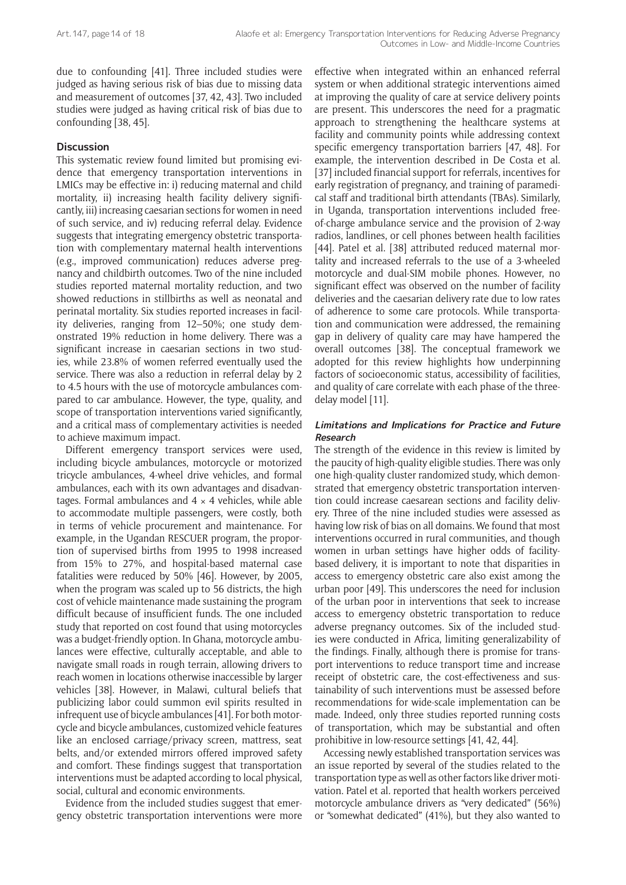due to confounding [41]. Three included studies were judged as having serious risk of bias due to missing data and measurement of outcomes [37, 42, 43]. Two included studies were judged as having critical risk of bias due to confounding [38, 45].

#### **Discussion**

This systematic review found limited but promising evidence that emergency transportation interventions in LMICs may be effective in: i) reducing maternal and child mortality, ii) increasing health facility delivery significantly, iii) increasing caesarian sections for women in need of such service, and iv) reducing referral delay. Evidence suggests that integrating emergency obstetric transportation with complementary maternal health interventions (e.g., improved communication) reduces adverse pregnancy and childbirth outcomes. Two of the nine included studies reported maternal mortality reduction, and two showed reductions in stillbirths as well as neonatal and perinatal mortality. Six studies reported increases in facility deliveries, ranging from 12–50%; one study demonstrated 19% reduction in home delivery. There was a significant increase in caesarian sections in two studies, while 23.8% of women referred eventually used the service. There was also a reduction in referral delay by 2 to 4.5 hours with the use of motorcycle ambulances compared to car ambulance. However, the type, quality, and scope of transportation interventions varied significantly, and a critical mass of complementary activities is needed to achieve maximum impact.

Different emergency transport services were used, including bicycle ambulances, motorcycle or motorized tricycle ambulances, 4-wheel drive vehicles, and formal ambulances, each with its own advantages and disadvantages. Formal ambulances and  $4 \times 4$  vehicles, while able to accommodate multiple passengers, were costly, both in terms of vehicle procurement and maintenance. For example, in the Ugandan RESCUER program, the proportion of supervised births from 1995 to 1998 increased from 15% to 27%, and hospital-based maternal case fatalities were reduced by 50% [46]. However, by 2005, when the program was scaled up to 56 districts, the high cost of vehicle maintenance made sustaining the program difficult because of insufficient funds. The one included study that reported on cost found that using motorcycles was a budget-friendly option. In Ghana, motorcycle ambulances were effective, culturally acceptable, and able to navigate small roads in rough terrain, allowing drivers to reach women in locations otherwise inaccessible by larger vehicles [38]. However, in Malawi, cultural beliefs that publicizing labor could summon evil spirits resulted in infrequent use of bicycle ambulances [41]. For both motorcycle and bicycle ambulances, customized vehicle features like an enclosed carriage/privacy screen, mattress, seat belts, and/or extended mirrors offered improved safety and comfort. These findings suggest that transportation interventions must be adapted according to local physical, social, cultural and economic environments.

Evidence from the included studies suggest that emergency obstetric transportation interventions were more effective when integrated within an enhanced referral system or when additional strategic interventions aimed at improving the quality of care at service delivery points are present. This underscores the need for a pragmatic approach to strengthening the healthcare systems at facility and community points while addressing context specific emergency transportation barriers [47, 48]. For example, the intervention described in De Costa et al. [37] included financial support for referrals, incentives for early registration of pregnancy, and training of paramedical staff and traditional birth attendants (TBAs). Similarly, in Uganda, transportation interventions included freeof-charge ambulance service and the provision of 2-way radios, landlines, or cell phones between health facilities [44]. Patel et al. [38] attributed reduced maternal mortality and increased referrals to the use of a 3-wheeled motorcycle and dual-SIM mobile phones. However, no significant effect was observed on the number of facility deliveries and the caesarian delivery rate due to low rates of adherence to some care protocols. While transportation and communication were addressed, the remaining gap in delivery of quality care may have hampered the overall outcomes [38]. The conceptual framework we adopted for this review highlights how underpinning factors of socioeconomic status, accessibility of facilities, and quality of care correlate with each phase of the threedelay model [11].

#### **Limitations and Implications for Practice and Future Research**

The strength of the evidence in this review is limited by the paucity of high-quality eligible studies. There was only one high-quality cluster randomized study, which demonstrated that emergency obstetric transportation intervention could increase caesarean sections and facility delivery. Three of the nine included studies were assessed as having low risk of bias on all domains. We found that most interventions occurred in rural communities, and though women in urban settings have higher odds of facilitybased delivery, it is important to note that disparities in access to emergency obstetric care also exist among the urban poor [49]. This underscores the need for inclusion of the urban poor in interventions that seek to increase access to emergency obstetric transportation to reduce adverse pregnancy outcomes. Six of the included studies were conducted in Africa, limiting generalizability of the findings. Finally, although there is promise for transport interventions to reduce transport time and increase receipt of obstetric care, the cost-effectiveness and sustainability of such interventions must be assessed before recommendations for wide-scale implementation can be made. Indeed, only three studies reported running costs of transportation, which may be substantial and often prohibitive in low-resource settings [41, 42, 44].

Accessing newly established transportation services was an issue reported by several of the studies related to the transportation type as well as other factors like driver motivation. Patel et al*.* reported that health workers perceived motorcycle ambulance drivers as "very dedicated" (56%) or "somewhat dedicated" (41%), but they also wanted to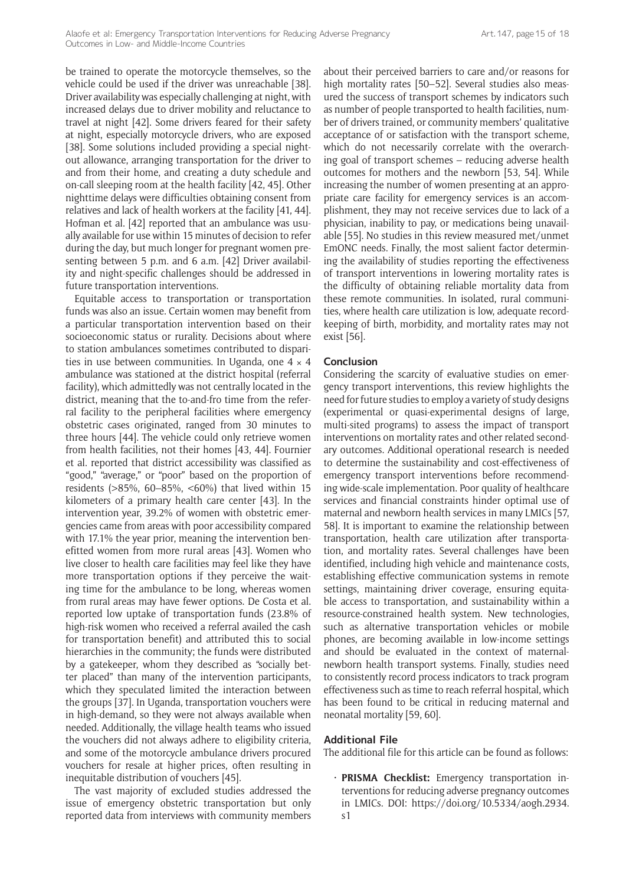be trained to operate the motorcycle themselves, so the vehicle could be used if the driver was unreachable [38]. Driver availability was especially challenging at night, with increased delays due to driver mobility and reluctance to travel at night [42]. Some drivers feared for their safety at night, especially motorcycle drivers, who are exposed [38]. Some solutions included providing a special nightout allowance, arranging transportation for the driver to and from their home, and creating a duty schedule and on-call sleeping room at the health facility [42, 45]. Other nighttime delays were difficulties obtaining consent from relatives and lack of health workers at the facility [41, 44]. Hofman et al. [42] reported that an ambulance was usually available for use within 15 minutes of decision to refer during the day, but much longer for pregnant women presenting between 5 p.m. and 6 a.m. [42] Driver availability and night-specific challenges should be addressed in future transportation interventions.

Equitable access to transportation or transportation funds was also an issue. Certain women may benefit from a particular transportation intervention based on their socioeconomic status or rurality. Decisions about where to station ambulances sometimes contributed to disparities in use between communities. In Uganda, one  $4 \times 4$ ambulance was stationed at the district hospital (referral facility), which admittedly was not centrally located in the district, meaning that the to-and-fro time from the referral facility to the peripheral facilities where emergency obstetric cases originated, ranged from 30 minutes to three hours [44]. The vehicle could only retrieve women from health facilities, not their homes [43, 44]. Fournier et al. reported that district accessibility was classified as "good," "average," or "poor" based on the proportion of residents (>85%, 60–85%, <60%) that lived within 15 kilometers of a primary health care center [43]. In the intervention year, 39.2% of women with obstetric emergencies came from areas with poor accessibility compared with 17.1% the year prior, meaning the intervention benefitted women from more rural areas [43]. Women who live closer to health care facilities may feel like they have more transportation options if they perceive the waiting time for the ambulance to be long, whereas women from rural areas may have fewer options. De Costa et al. reported low uptake of transportation funds (23.8% of high-risk women who received a referral availed the cash for transportation benefit) and attributed this to social hierarchies in the community; the funds were distributed by a gatekeeper, whom they described as "socially better placed" than many of the intervention participants, which they speculated limited the interaction between the groups [37]. In Uganda, transportation vouchers were in high-demand, so they were not always available when needed. Additionally, the village health teams who issued the vouchers did not always adhere to eligibility criteria, and some of the motorcycle ambulance drivers procured vouchers for resale at higher prices, often resulting in inequitable distribution of vouchers [45].

The vast majority of excluded studies addressed the issue of emergency obstetric transportation but only reported data from interviews with community members about their perceived barriers to care and/or reasons for high mortality rates [50–52]. Several studies also measured the success of transport schemes by indicators such as number of people transported to health facilities, number of drivers trained, or community members' qualitative acceptance of or satisfaction with the transport scheme, which do not necessarily correlate with the overarching goal of transport schemes – reducing adverse health outcomes for mothers and the newborn [53, 54]. While increasing the number of women presenting at an appropriate care facility for emergency services is an accomplishment, they may not receive services due to lack of a physician, inability to pay, or medications being unavailable [55]. No studies in this review measured met/unmet EmONC needs. Finally, the most salient factor determining the availability of studies reporting the effectiveness of transport interventions in lowering mortality rates is the difficulty of obtaining reliable mortality data from these remote communities. In isolated, rural communities, where health care utilization is low, adequate recordkeeping of birth, morbidity, and mortality rates may not exist [56].

#### **Conclusion**

Considering the scarcity of evaluative studies on emergency transport interventions, this review highlights the need for future studies to employ a variety of study designs (experimental or quasi-experimental designs of large, multi-sited programs) to assess the impact of transport interventions on mortality rates and other related secondary outcomes. Additional operational research is needed to determine the sustainability and cost-effectiveness of emergency transport interventions before recommending wide-scale implementation. Poor quality of healthcare services and financial constraints hinder optimal use of maternal and newborn health services in many LMICs [57, 58]. It is important to examine the relationship between transportation, health care utilization after transportation, and mortality rates. Several challenges have been identified, including high vehicle and maintenance costs, establishing effective communication systems in remote settings, maintaining driver coverage, ensuring equitable access to transportation, and sustainability within a resource-constrained health system. New technologies, such as alternative transportation vehicles or mobile phones, are becoming available in low-income settings and should be evaluated in the context of maternalnewborn health transport systems. Finally, studies need to consistently record process indicators to track program effectiveness such as time to reach referral hospital, which has been found to be critical in reducing maternal and neonatal mortality [59, 60].

#### **Additional File**

The additional file for this article can be found as follows:

**PRISMA Checklist:** Emergency transportation interventions for reducing adverse pregnancy outcomes in LMICs. DOI: [https://doi.org/10.5334/aogh.2934.](https://doi.org/10.5334/aogh.2934.s1) [s1](https://doi.org/10.5334/aogh.2934.s1)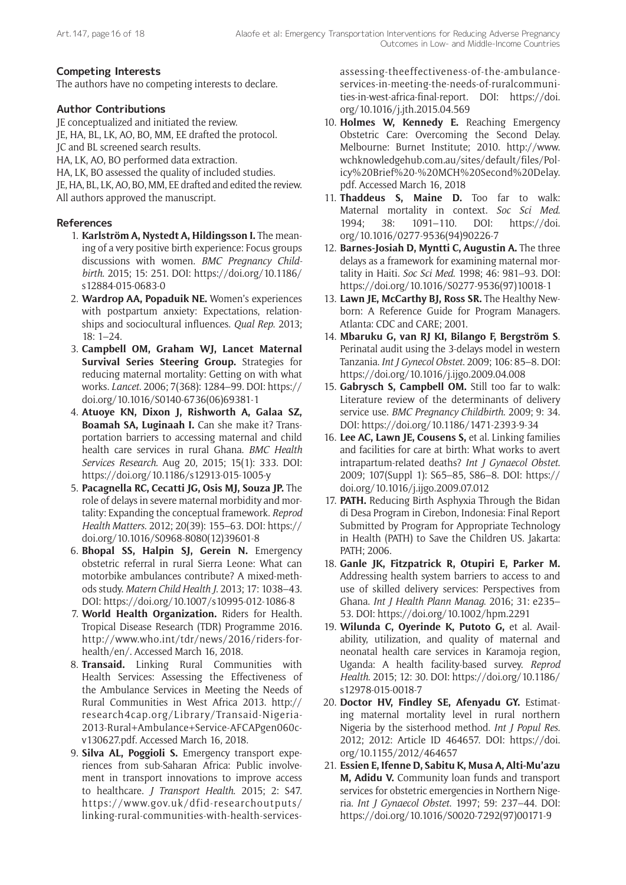## **Competing Interests**

The authors have no competing interests to declare.

## **Author Contributions**

JE conceptualized and initiated the review.

JE, HA, BL, LK, AO, BO, MM, EE drafted the protocol.

JC and BL screened search results.

HA, LK, AO, BO performed data extraction.

HA, LK, BO assessed the quality of included studies.

JE, HA, BL, LK, AO, BO, MM, EE drafted and edited the review. All authors approved the manuscript.

## **References**

- 1. **Karlström A, Nystedt A, Hildingsson I.** The meaning of a very positive birth experience: Focus groups discussions with women. *BMC Pregnancy Childbirth*. 2015; 15: 251. DOI: [https://doi.org/10.1186/](https://doi.org/10.1186/s12884-015-0683-0) [s12884-015-0683-0](https://doi.org/10.1186/s12884-015-0683-0)
- 2. **Wardrop AA, Popaduik NE.** Women's experiences with postpartum anxiety: Expectations, relationships and sociocultural influences. *Qual Rep*. 2013; 18: 1–24.
- 3. **Campbell OM, Graham WJ, Lancet Maternal Survival Series Steering Group.** Strategies for reducing maternal mortality: Getting on with what works. *Lancet*. 2006; 7(368): 1284–99. DOI: [https://](https://doi.org/10.1016/S0140-6736(06)69381-1) [doi.org/10.1016/S0140-6736\(06\)69381-1](https://doi.org/10.1016/S0140-6736(06)69381-1)
- 4. **Atuoye KN, Dixon J, Rishworth A, Galaa SZ, Boamah SA, Luginaah I.** Can she make it? Transportation barriers to accessing maternal and child health care services in rural Ghana. *BMC Health Services Research*. Aug 20, 2015; 15(1): 333. DOI: <https://doi.org/10.1186/s12913-015-1005-y>
- 5. **Pacagnella RC, Cecatti JG, Osis MJ, Souza JP.** The role of delays in severe maternal morbidity and mortality: Expanding the conceptual framework. *Reprod Health Matters*. 2012; 20(39): 155–63. DOI: [https://](https://doi.org/10.1016/S0968-8080(12)39601-8) [doi.org/10.1016/S0968-8080\(12\)39601-8](https://doi.org/10.1016/S0968-8080(12)39601-8)
- 6. **Bhopal SS, Halpin SJ, Gerein N.** Emergency obstetric referral in rural Sierra Leone: What can motorbike ambulances contribute? A mixed-methods study. *Matern Child Health J*. 2013; 17: 1038–43. DOI: <https://doi.org/10.1007/s10995-012-1086-8>
- 7. **World Health Organization.** Riders for Health. Tropical Disease Research (TDR) Programme 2016. [http://www.who.int/tdr/news/2016/riders-for](http://www.who.int/tdr/news/2016/riders-for-health/en/)[health/en/](http://www.who.int/tdr/news/2016/riders-for-health/en/). Accessed March 16, 2018.
- 8. **Transaid.** Linking Rural Communities with Health Services: Assessing the Effectiveness of the Ambulance Services in Meeting the Needs of Rural Communities in West Africa 2013. [http://](http://research4cap.org/Library/Transaid-Nigeria-2013-Rural+Ambulance+Service-AFCAPgen060c-v130627.pdf) [research4cap.org/Library/Transaid-Nigeria-](http://research4cap.org/Library/Transaid-Nigeria-2013-Rural+Ambulance+Service-AFCAPgen060c-v130627.pdf)[2013-Rural+Ambulance+Service-AFCAPgen060c](http://research4cap.org/Library/Transaid-Nigeria-2013-Rural+Ambulance+Service-AFCAPgen060c-v130627.pdf)[v130627.pdf](http://research4cap.org/Library/Transaid-Nigeria-2013-Rural+Ambulance+Service-AFCAPgen060c-v130627.pdf). Accessed March 16, 2018.
- 9. **Silva AL, Poggioli S.** Emergency transport experiences from sub-Saharan Africa: Public involvement in transport innovations to improve access to healthcare. *J Transport Health*. 2015; 2: S47. [https://www.gov.uk/dfid-researchoutputs/](https://www.gov.uk/dfid-researchoutputs/ linking-rural-communities-with-health-services-assessing-theeffectiveness-of-the-ambulance-services-in-meeting-the-needs-of-ruralcommunities-in-west-africa-final-report) [linking-rural-communities-with-health-services-](https://www.gov.uk/dfid-researchoutputs/ linking-rural-communities-with-health-services-assessing-theeffectiveness-of-the-ambulance-services-in-meeting-the-needs-of-ruralcommunities-in-west-africa-final-report)

[assessing-theeffectiveness-of-the-ambulance](https://www.gov.uk/dfid-researchoutputs/ linking-rural-communities-with-health-services-assessing-theeffectiveness-of-the-ambulance-services-in-meeting-the-needs-of-ruralcommunities-in-west-africa-final-report)[services-in-meeting-the-needs-of-ruralcommuni](https://www.gov.uk/dfid-researchoutputs/ linking-rural-communities-with-health-services-assessing-theeffectiveness-of-the-ambulance-services-in-meeting-the-needs-of-ruralcommunities-in-west-africa-final-report)[ties-in-west-africa-final-report](https://www.gov.uk/dfid-researchoutputs/ linking-rural-communities-with-health-services-assessing-theeffectiveness-of-the-ambulance-services-in-meeting-the-needs-of-ruralcommunities-in-west-africa-final-report). DOI: [https://doi.](https://doi.org/10.1016/j.jth.2015.04.569) [org/10.1016/j.jth.2015.04.569](https://doi.org/10.1016/j.jth.2015.04.569)

- 10. **Holmes W, Kennedy E.** Reaching Emergency Obstetric Care: Overcoming the Second Delay. Melbourne: Burnet Institute; 2010. [http://www.](http://www.wchknowledgehub.com.au/sites/default/files/Policy%20Brief%20-%20MCH%20Second%20Delay.pdf) [wchknowledgehub.com.au/sites/default/files/Pol](http://www.wchknowledgehub.com.au/sites/default/files/Policy%20Brief%20-%20MCH%20Second%20Delay.pdf)[icy%20Brief%20-%20MCH%20Second%20Delay.](http://www.wchknowledgehub.com.au/sites/default/files/Policy%20Brief%20-%20MCH%20Second%20Delay.pdf) [pdf](http://www.wchknowledgehub.com.au/sites/default/files/Policy%20Brief%20-%20MCH%20Second%20Delay.pdf). Accessed March 16, 2018
- 11. **Thaddeus S, Maine D.** Too far to walk: Maternal mortality in context. *Soc Sci Med*. 1994; 38: 1091–110. DOI: [https://doi.](https://doi.org/10.1016/0277-9536(94)90226-7) [org/10.1016/0277-9536\(94\)90226-7](https://doi.org/10.1016/0277-9536(94)90226-7)
- 12. **Barnes-Josiah D, Myntti C, Augustin A.** The three delays as a framework for examining maternal mortality in Haiti. *Soc Sci Med*. 1998; 46: 981–93. DOI: [https://doi.org/10.1016/S0277-9536\(97\)10018-1](https://doi.org/10.1016/S0277-9536(97)10018-1)
- 13. **Lawn JE, McCarthy BJ, Ross SR.** The Healthy Newborn: A Reference Guide for Program Managers. Atlanta: CDC and CARE; 2001.
- 14. **Mbaruku G, van RJ KI, Bilango F, Bergström S**. Perinatal audit using the 3-delays model in western Tanzania. *Int J Gynecol Obstet*. 2009; 106: 85–8. DOI: <https://doi.org/10.1016/j.ijgo.2009.04.008>
- 15. **Gabrysch S, Campbell OM.** Still too far to walk: Literature review of the determinants of delivery service use. *BMC Pregnancy Childbirth*. 2009; 9: 34. DOI:<https://doi.org/10.1186/1471-2393-9-34>
- 16. **Lee AC, Lawn JE, Cousens S,** et al. Linking families and facilities for care at birth: What works to avert intrapartum-related deaths? *Int J Gynaecol Obstet*. 2009; 107(Suppl 1): S65–85, S86–8. DOI: [https://](https://doi.org/10.1016/j.ijgo.2009.07.012) [doi.org/10.1016/j.ijgo.2009.07.012](https://doi.org/10.1016/j.ijgo.2009.07.012)
- 17. **PATH.** Reducing Birth Asphyxia Through the Bidan di Desa Program in Cirebon, Indonesia: Final Report Submitted by Program for Appropriate Technology in Health (PATH) to Save the Children US. Jakarta: PATH; 2006.
- 18. **Ganle JK, Fitzpatrick R, Otupiri E, Parker M.** Addressing health system barriers to access to and use of skilled delivery services: Perspectives from Ghana. *Int J Health Plann Manag*. 2016; 31: e235– 53. DOI:<https://doi.org/10.1002/hpm.2291>
- 19. **Wilunda C, Oyerinde K, Putoto G,** et al. Availability, utilization, and quality of maternal and neonatal health care services in Karamoja region, Uganda: A health facility-based survey. *Reprod Health*. 2015; 12: 30. DOI: [https://doi.org/10.1186/](https://doi.org/10.1186/s12978-015-0018-7) [s12978-015-0018-7](https://doi.org/10.1186/s12978-015-0018-7)
- 20. **Doctor HV, Findley SE, Afenyadu GY.** Estimating maternal mortality level in rural northern Nigeria by the sisterhood method. *Int J Popul Res*. 2012; 2012: Article ID 464657. DOI: [https://doi.](https://doi.org/10.1155/2012/464657) [org/10.1155/2012/464657](https://doi.org/10.1155/2012/464657)
- 21. **Essien E, Ifenne D, Sabitu K, Musa A, Alti-Mu'azu M, Adidu V.** Community loan funds and transport services for obstetric emergencies in Northern Nigeria. *Int J Gynaecol Obstet*. 1997; 59: 237–44. DOI: [https://doi.org/10.1016/S0020-7292\(97\)00171-9](https://doi.org/10.1016/S0020-7292(97)00171-9)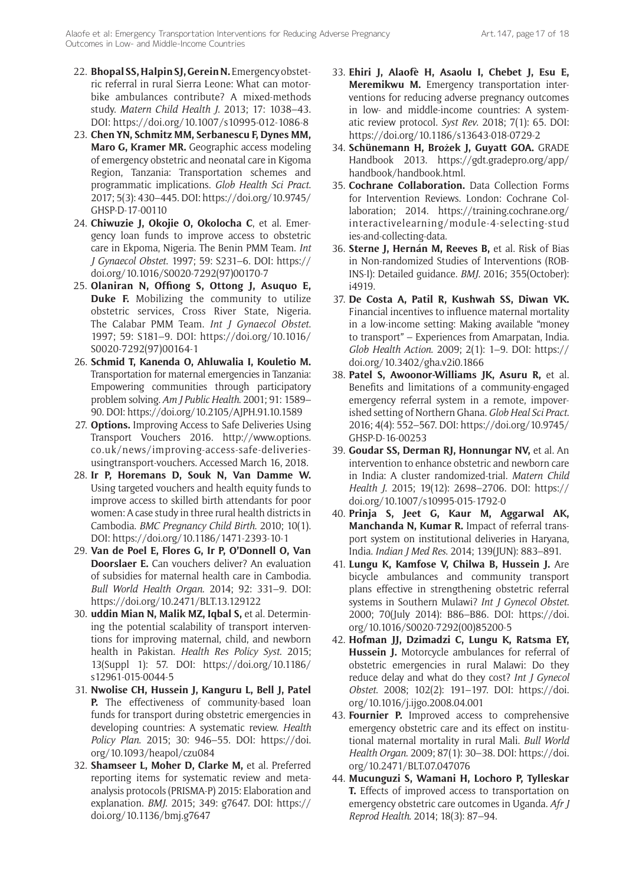- 22. **Bhopal SS, Halpin SJ, Gerein N.** Emergency obstetric referral in rural Sierra Leone: What can motorbike ambulances contribute? A mixed-methods study. *Matern Child Health J*. 2013; 17: 1038–43. DOI: <https://doi.org/10.1007/s10995-012-1086-8>
- 23. **Chen YN, Schmitz MM, Serbanescu F, Dynes MM, Maro G, Kramer MR.** Geographic access modeling of emergency obstetric and neonatal care in Kigoma Region, Tanzania: Transportation schemes and programmatic implications. *Glob Health Sci Pract*. 2017; 5(3): 430–445. DOI: [https://doi.org/10.9745/](https://doi.org/10.9745/GHSP-D-17-00110) [GHSP-D-17-00110](https://doi.org/10.9745/GHSP-D-17-00110)
- 24. **Chiwuzie J, Okojie O, Okolocha C**, et al. Emergency loan funds to improve access to obstetric care in Ekpoma, Nigeria. The Benin PMM Team. *Int J Gynaecol Obstet*. 1997; 59: S231–6. DOI: [https://](https://doi.org/10.1016/S0020-7292(97)00170-7) [doi.org/10.1016/S0020-7292\(97\)00170-7](https://doi.org/10.1016/S0020-7292(97)00170-7)
- 25. **Olaniran N, Offiong S, Ottong J, Asuquo E, Duke F.** Mobilizing the community to utilize obstetric services, Cross River State, Nigeria. The Calabar PMM Team. *Int J Gynaecol Obstet*. 1997; 59: S181–9. DOI: [https://doi.org/10.1016/](https://doi.org/10.1016/S0020-7292(97)00164-1) [S0020-7292\(97\)00164-1](https://doi.org/10.1016/S0020-7292(97)00164-1)
- 26. **Schmid T, Kanenda O, Ahluwalia I, Kouletio M.** Transportation for maternal emergencies in Tanzania: Empowering communities through participatory problem solving. *Am J Public Health*. 2001; 91: 1589– 90. DOI:<https://doi.org/10.2105/AJPH.91.10.1589>
- 27. **Options.** Improving Access to Safe Deliveries Using Transport Vouchers 2016. [http://www.options.](http://www.options.co.uk/news/improving-access-safe-deliveries-usingtransport-vouchers) [co.uk/news/improving-access-safe-deliveries](http://www.options.co.uk/news/improving-access-safe-deliveries-usingtransport-vouchers)[usingtransport-vouchers](http://www.options.co.uk/news/improving-access-safe-deliveries-usingtransport-vouchers). Accessed March 16, 2018.
- 28. **Ir P, Horemans D, Souk N, Van Damme W.** Using targeted vouchers and health equity funds to improve access to skilled birth attendants for poor women: A case study in three rural health districts in Cambodia. *BMC Pregnancy Child Birth*. 2010; 10(1). DOI:<https://doi.org/10.1186/1471-2393-10-1>
- 29. **Van de Poel E, Flores G, Ir P, O'Donnell O, Van Doorslaer E.** Can vouchers deliver? An evaluation of subsidies for maternal health care in Cambodia. *Bull World Health Organ*. 2014; 92: 331–9. DOI: <https://doi.org/10.2471/BLT.13.129122>
- 30. **uddin Mian N, Malik MZ, Iqbal S,** et al. Determining the potential scalability of transport interventions for improving maternal, child, and newborn health in Pakistan. *Health Res Policy Syst*. 2015; 13(Suppl 1): 57. DOI: [https://doi.org/10.1186/](https://doi.org/10.1186/s12961-015-0044-5) [s12961-015-0044-5](https://doi.org/10.1186/s12961-015-0044-5)
- 31. **Nwolise CH, Hussein J, Kanguru L, Bell J, Patel P.** The effectiveness of community-based loan funds for transport during obstetric emergencies in developing countries: A systematic review. *Health Policy Plan*. 2015; 30: 946–55. DOI: [https://doi.](https://doi.org/10.1093/heapol/czu084) [org/10.1093/heapol/czu084](https://doi.org/10.1093/heapol/czu084)
- 32. **Shamseer L, Moher D, Clarke M,** et al. Preferred reporting items for systematic review and metaanalysis protocols (PRISMA-P) 2015: Elaboration and explanation. *BMJ*. 2015; 349: g7647. DOI: [https://](https://doi.org/10.1136/bmj.g7647) [doi.org/10.1136/bmj.g7647](https://doi.org/10.1136/bmj.g7647)
- 33. **Ehiri J, Alaofè H, Asaolu I, Chebet J, Esu E, Meremikwu M.** Emergency transportation interventions for reducing adverse pregnancy outcomes in low- and middle-income countries: A systematic review protocol. *Syst Rev*. 2018; 7(1): 65. DOI: <https://doi.org/10.1186/s13643-018-0729-2>
- 34. **Schünemann H, Brożek J, Guyatt GOA.** GRADE Handbook 2013. [https://gdt.gradepro.org/app/](https://gdt.gradepro.org/app/handbook/handbook.html) [handbook/handbook.html.](https://gdt.gradepro.org/app/handbook/handbook.html)
- 35. **Cochrane Collaboration.** Data Collection Forms for Intervention Reviews. London: Cochrane Collaboration; 2014. [https://training.cochrane.org/](https://training.cochrane.org/interactivelearning/module-4-selecting-studies-and-collecting-data) [interactivelearning/module-4-selecting-stud](https://training.cochrane.org/interactivelearning/module-4-selecting-studies-and-collecting-data) [ies-and-collecting-data](https://training.cochrane.org/interactivelearning/module-4-selecting-studies-and-collecting-data).
- 36. **Sterne J, Hernán M, Reeves B,** et al. Risk of Bias in Non-randomized Studies of Interventions (ROB-INS-I): Detailed guidance. *BMJ*. 2016; 355(October): i4919.
- 37. **De Costa A, Patil R, Kushwah SS, Diwan VK.** Financial incentives to influence maternal mortality in a low-income setting: Making available "money to transport" – Experiences from Amarpatan, India. *Glob Health Action*. 2009; 2(1): 1–9. DOI: [https://](https://doi.org/10.3402/gha.v2i0.1866) [doi.org/10.3402/gha.v2i0.1866](https://doi.org/10.3402/gha.v2i0.1866)
- 38. **Patel S, Awoonor-Williams JK, Asuru R,** et al. Benefits and limitations of a community-engaged emergency referral system in a remote, impoverished setting of Northern Ghana. *Glob Heal Sci Pract*. 2016; 4(4): 552–567. DOI: [https://doi.org/10.9745/](https://doi.org/10.9745/GHSP-D-16-00253) [GHSP-D-16-00253](https://doi.org/10.9745/GHSP-D-16-00253)
- 39. **Goudar SS, Derman RJ, Honnungar NV,** et al. An intervention to enhance obstetric and newborn care in India: A cluster randomized-trial. *Matern Child Health J*. 2015; 19(12): 2698–2706. DOI: [https://](https://doi.org/10.1007/s10995-015-1792-0) [doi.org/10.1007/s10995-015-1792-0](https://doi.org/10.1007/s10995-015-1792-0)
- 40. **Prinja S, Jeet G, Kaur M, Aggarwal AK, Manchanda N, Kumar R.** Impact of referral transport system on institutional deliveries in Haryana, India. *Indian J Med Res*. 2014; 139(JUN): 883–891.
- 41. **Lungu K, Kamfose V, Chilwa B, Hussein J.** Are bicycle ambulances and community transport plans effective in strengthening obstetric referral systems in Southern Mulawi? *Int J Gynecol Obstet*. 2000; 70(July 2014): B86–B86. DOI: [https://doi.](https://doi.org/10.1016/S0020-7292(00)85200-5) [org/10.1016/S0020-7292\(00\)85200-5](https://doi.org/10.1016/S0020-7292(00)85200-5)
- 42. **Hofman JJ, Dzimadzi C, Lungu K, Ratsma EY, Hussein J.** Motorcycle ambulances for referral of obstetric emergencies in rural Malawi: Do they reduce delay and what do they cost? *Int J Gynecol Obstet*. 2008; 102(2): 191–197. DOI: [https://doi.](https://doi.org/10.1016/j.ijgo.2008.04.001) [org/10.1016/j.ijgo.2008.04.001](https://doi.org/10.1016/j.ijgo.2008.04.001)
- 43. **Fournier P.** Improved access to comprehensive emergency obstetric care and its effect on institutional maternal mortality in rural Mali. *Bull World Health Organ*. 2009; 87(1): 30–38. DOI: [https://doi.](https://doi.org/10.2471/BLT.07.047076) [org/10.2471/BLT.07.047076](https://doi.org/10.2471/BLT.07.047076)
- 44. **Mucunguzi S, Wamani H, Lochoro P, Tylleskar T.** Effects of improved access to transportation on emergency obstetric care outcomes in Uganda. *Afr J Reprod Health*. 2014; 18(3): 87–94.